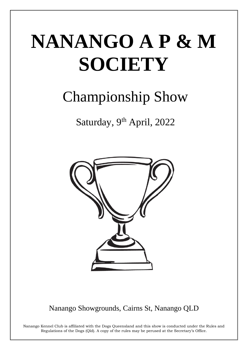# NANANGO A P & M **SOCIETY**

# **Championship Show**

Saturday, 9th April, 2022



Nanango Showgrounds, Cairns St, Nanango QLD

Nanango Kennel Club is affiliated with the Dogs Queensland and this show is conducted under the Rules and Regulations of the Dogs (Qld). A copy of the rules may be perused at the Secretary's Office.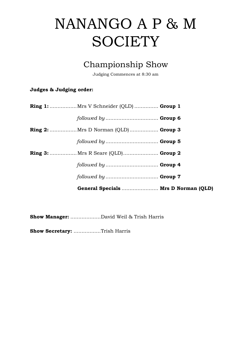## NANANGO A P & M **SOCIETY**

## Championship Show

Judging Commences at 8:30 am

## Judges & Judging order:

| General Specials  Mrs D Norman (QLD)          |  |
|-----------------------------------------------|--|
|                                               |  |
|                                               |  |
| <b>Ring 3:</b> Mrs R Seare (QLD) Group 2      |  |
| followed by  Group 5                          |  |
| <b>Ring 2:</b> Mrs D Norman (QLD) Group 3     |  |
|                                               |  |
| <b>Ring 1:</b> Mrs V Schneider (QLD)  Group 1 |  |

Show Manager: ...................David Weil & Trish Harris

Show Secretary: .................Trish Harris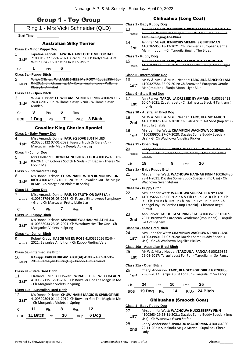## Group 1 - Toy Group

|                        |                                                                                  | PIVUP I <sup>–</sup> IVY VIVUP         |      |                                                                                                                |  |
|------------------------|----------------------------------------------------------------------------------|----------------------------------------|------|----------------------------------------------------------------------------------------------------------------|--|
|                        |                                                                                  |                                        |      | Ring 1 - Mrs Vicki Schneider (QLD)                                                                             |  |
| <b>Start Time:</b>     |                                                                                  |                                        |      |                                                                                                                |  |
|                        |                                                                                  | <b>Australian Silky Terrier</b>        |      |                                                                                                                |  |
|                        | <b>Class 2 - Minor Puppy Dog</b>                                                 |                                        |      |                                                                                                                |  |
| 1<br>$1st^*$           |                                                                                  |                                        |      | Japatina Kennels: JAPATINA AINT GOT TIME FOR DAT<br>7100049622 12-07-2021: Grand Ch C.I.B Karlyermai Aint      |  |
|                        | Wizlin Dixi - Ch Japatina In It To Win It                                        |                                        |      |                                                                                                                |  |
| Ch                     | $\blacksquare$ 1                                                                 | 6<br>Pts                               |      |                                                                                                                |  |
|                        | Class 3a - Puppy Bitch                                                           |                                        |      |                                                                                                                |  |
| 2                      |                                                                                  |                                        |      | W &A O'Brien: WILLAME SHEEZ MY ROXY 4100353864 10<br>04-2021: Ch, Chamshep My Roxys Final Encore - Willame     |  |
| Absent                 | Klassy Lil Annabel                                                               |                                        |      |                                                                                                                |  |
|                        | Class 11a - Open Bitch                                                           |                                        |      |                                                                                                                |  |
| 3                      |                                                                                  |                                        |      | W.&A. O'Brien: CH WILLAME SERIOUZ BIZNIZ 4100289957<br>24-03-2017: Ch. Willame Klassy Bizniz - Willame Klassy  |  |
| $1st^*$                | Maiden                                                                           |                                        |      |                                                                                                                |  |
| Ch                     |                                                                                  | 3 Pts 6 Res                            |      |                                                                                                                |  |
|                        | BOB 1 Dog Pts 7 R/Up 3 Bitch                                                     |                                        |      |                                                                                                                |  |
|                        |                                                                                  |                                        |      | <b>Cavalier King Charles Spaniel</b>                                                                           |  |
|                        | <u> Class 1 - Baby Puppy Dog</u>                                                 |                                        |      |                                                                                                                |  |
| 4                      |                                                                                  |                                        |      | Miss Amanda Dunne: FASUSQ LOVE LUST N LIES                                                                     |  |
| $1st^*$                |                                                                                  | Marcavan Truly Madly Deeply At Fasusq  |      | 4100366122 07-01-2022: Fasusq Truth Or Dare (Ai) -                                                             |  |
|                        | Class 4 - Junior Dog                                                             |                                        |      |                                                                                                                |  |
| 5                      |                                                                                  |                                        |      | Mrs J Ireland: CUDYNCAE NOBODYS FOOL 4100352495 01-<br>03-2021: Ch Coloora Scotch N Soda - Ch Dapsen Theres No |  |
| $1st^*$                | Foolin Me                                                                        |                                        |      |                                                                                                                |  |
|                        | Class 5 - Intermediate Dog                                                       |                                        |      |                                                                                                                |  |
| 6                      |                                                                                  |                                        |      | Ms Donna Dickson: CH SWINABIE WHEN RUMOURS RUN<br>RIOT 4100329507 01-11-2019: Ch Bowalier Got The Magic        |  |
| $1st^*$                |                                                                                  | In Me - Ch Morganlea Violets In Spring |      |                                                                                                                |  |
|                        | Class 11 - Open Dog                                                              |                                        |      |                                                                                                                |  |
| $\mathbf{z}$<br>Absent |                                                                                  |                                        |      | Miss Amanda Dunne: FASUSQ TRUTH OR DARE (AI)<br>4100303794 03 03 2018: Ch Fasusq Bittersweet Symphony          |  |
|                        | -Grand Ch Marcavan Pretty Little Liar                                            |                                        |      |                                                                                                                |  |
| Сh                     | 6<br>Pts                                                                         |                                        | Res  | 5                                                                                                              |  |
|                        | Class 3a - Puppy Bitch                                                           |                                        |      |                                                                                                                |  |
| 8<br>1st*              |                                                                                  |                                        |      | Ms Donna Dickson: SWINABIE YOU HAD ME AT HELLO<br>4100358033 23-05-2021: Ch Westbury Hes The One - Ch          |  |
|                        |                                                                                  | Morganlea Violets In Spring            |      |                                                                                                                |  |
|                        | Class 4a - Junior Bitch                                                          |                                        |      |                                                                                                                |  |
| 9<br>Absent            |                                                                                  |                                        |      | Robert Crapp: KABOB VIE EN ROSE 4100356056 02 04<br>2021: Bevanlee Ambition - Ch Kabob Finding Vera            |  |
|                        |                                                                                  |                                        |      |                                                                                                                |  |
| 10                     | Class 5a - Intermediate Bitch<br>R Crapp: KABOB DREAM ALOT(AI) 4100321605 07-05- |                                        |      |                                                                                                                |  |
| Absent                 |                                                                                  |                                        |      | 2019: Verheyen Dustin(Uk) - Kabob Turn Around                                                                  |  |
|                        | Class 9a - State Bred Bitch                                                      |                                        |      |                                                                                                                |  |
| 11                     |                                                                                  |                                        |      | J Ireland C Mibus L Flower: SWINABIE HERE WE COM AGN                                                           |  |
| $1st*$                 |                                                                                  | - Ch Morganlea Violets In Spring       |      | 4100337115 12-05-2020: Ch Bowalier Got The Magic In Me                                                         |  |
|                        | Class 10a - Australian Bred Bitch                                                |                                        |      |                                                                                                                |  |
| 12                     |                                                                                  |                                        |      | Ms Donna Dickson: CH SWINABIE MAGIC IN SPRINGTIME                                                              |  |
| $1st*$                 |                                                                                  | - Ch Morganlea Violets In Spring       |      | 4100329504 01-11-2019: Ch Bowalier Got The Magic In Me                                                         |  |
| Сh                     | 11<br>Pts                                                                        | 8                                      | Res  | 12                                                                                                             |  |
| <b>BOB</b>             | 11 Bitch                                                                         | 10<br>Pts                              | R/Up | 6 Dog                                                                                                          |  |

#### Chihuahua (Long Coat)

#### **Class 1 - Baby Puppy Dog** 13 Jennifer McKell: **JENNICHIS TUXEDO MAN** 4100365054 18- 12-2021: Bramver's European Gentle Man (Imp Jpn) - Ch Tarquila Singing The Blues Absent 14 Jennifer McKell: **JENNICHIS MEMPHIS GENTLEMAN** 4100365055 18-12-2021: Ch Bramver's European Gentle **1st** 4100365055 18-12-2021: Ch Bramver's Europe<br>Man (Imp Jpn) - Ch Tarquila Singing The Blues **Class 3 - Puppy Dog** 15 Jennifer McKell: **TARQUILA DANCIN INTH MOONLITE** 4100359830 26-08-2021: Zabetha Jett - Sianjo Moon Light Blue Absent **Class 5 - Intermediate Dog** 16 Mr W & Mrs P & Miss J Needer: **TARQUILA SANCHIO I AM** 4100327584 22-09-2019: Ch.Bramver,S European Gentle Man(Imp Jpn) - Sianjo Moon Light Blue **1st\* Class 9 - State Bred Dog** 17 Ann Parker: **TARQUILA DRESSED BY AMARNI** 4100353423 10-04-2021: Zabetha Jett - Ch Salinacruz Black N Tantrum ( **1st**  $\frac{10-04-2}{1mp \, \text{Nz}}$ **Class 10 - Australian Bred Dog** 18 Mr W & Mrs P & Miss J Needer: **TARQUILA MY AMIGO** 4100310076 18-07-2018: Ch. Salinacruz Hot Shot (Imp Nzl) - Tarquila Shakila **2nd** 19 Mrs. Jennifer Watt: **CHAMPION WACHOWA 00 SEVEN** 4100339802 27-07-2020: Dazzles Some Buddy Special ( 1st\* 4100339802 27-07-2020: Dazzles Some<br>Usa) - Gr Ch Wachowa Angelica Pickles **Class 11 - Open Dog** 20 Cheryl Anderson: **SUPAKADU COSTA BUNDLE** 4100250165 10-10-2014: Tewhare Show No Mercy - Mychicos Arctic Cream Absent Ch **19** Pts **9** Res **16 Class 1a - Baby Puppy Bitch** 21 Mrs Jennifer Watt: **WACHOWA HANNAH FINN** 4100363430 23-11-2021: Dazzles Some Buddy Special ( Imp Usa) - Ch Wachowa Gwen Stefani **1st\* Class 3a - Puppy Bitch**

- 22 Mrs Jennifer Watt: **WACHOWA SORISSO PENNY LANE**
- 4100356560 22-06-2021: A & Cib.Ee.Ch. Ee. Jr Ch. Fin. Ch. Ltu. Ch. Ltu Jr Ch. Lux . Jr Ch Lva. Ch. Lva. Jr Ch. Nor. Ch Triangel Joy Un Sorriso ( Imp Estonia) - Chintaro Regal Pursuit **1st\***
- 23 Ann Parker: **TARQUILA SHINING STAR** 4100357563 01-07-
- 2021: Bramver's European Gentleman(Imp Japan) Tarquila **2nd** <sup>2021: Bramver's</sup>

#### **Class 9a - State Bred Bitch**

- 24 Mrs. Jennifer Watt: **CHAMPION WACHOWA EMILY JANE**
- 4100339801 27-07-2020: Dazzles Some Buddy Special ( **1st**\* 4100339801 27-07-2020: Dazzles Some<br>Usa) - Gr Ch Wachowa Angelica Pickles

#### **Class 10a - Australian Bred Bitch**

- 25 Mr W & Miss J Needer: **TARQUILA RANCIA** 4100289852
- 29-03-2017: Tarquila Just For Fun Tarquila I'm So Fancy **1st**

#### **Class 11a - Open Bitch**

#### 26 Cheryl Anderson: **TARQUILA GEORGIE GIRL** 4100289853 29-03-2017: Tarquila Just For Fun - Tarquila Im So Fancy **1st\***

- Ch **24** Pts **10** Res **25**
- BOB **19 Dog** Pts **14** R/Up **24 Bitch**

#### Chihuahua (Smooth Coat)

#### **Class 1 - Baby Puppy Dog**

- 27 Mrs Jennifer Watt: **WACHOWA HUCKLEBERRY FINN** 4100363429 23-11-2021: Dazzles Some Buddy Special ( Imp Usa) - Ch Wachowa Gwen Stefani **1st\*** 28 Cheryl Anderson: **SUPAKADU MACHO MAN** 4100364380
- 22-11-2021: Supakadu Magic Marvin Supakadu Cheza **2nd**  $\frac{22-1}{\text{Ladv}}$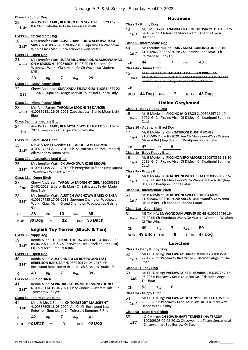#### **Class 4 - Junior Dog**

29 Ann Parker: **TARQUILA DOIN IT IN STYLE** 4100352932 25- 03-2021: Zabetha Jett - Incasunrise Isabella **1st\***

#### **Class 5 - Intermediate Dog**

30 Mrs Jennifer Watt: **AUST CHAMPION WACHOWA TOM SAWYER** 4100323463 20-06-2019: Supreme Ch Wachowa Workn Class Man - Ch Wachowa Gwen Stefani **1st\***

#### **Class 11 - Open Dog**

- 31 Mrs Jennifer Watt: **SUPREME CHAMPION WACHOWA MAN ON A MISSION** 4100246604 10-08-2014: Supreme Ch Wachowa Workn Class Man - Gr Ch Wachowa Modern Millie Absent
- Ch **30** Pts **7** Res **29**

#### **Class 1a - Baby Puppy Bitch**

32 Cheryl Anderson: **SUPAKADU SELINA GIRL** 4100364379 22- 11-2021: Supakadu Magic Marvin - Supakadu Cheza Lady **1st**

#### **Class 2a - Minor Puppy Bitch**

#### 33 Ms. Ann Parker: **TARQUILA MOONLITE DANCER**

4100359831 26-08-2021: Zabetha Jett - Sianjo Moon Light Blue Absent

#### **Class 5a - Intermediate Bitch**

34 Ann Parker: **TARQUILA MYSTIC WOLF** 4100331566 17-01- 1st 2020: Sianjo Ki - Ch Tarquila Wolf Whistle

#### **Class 9a - State Bred Bitch**

- 35 Mr W & Miss J Needer: **CH. TARQUILA BELLA MIA**
- 4100284523 27-11-2016: Ch. Salinacruz Hot Shot (Imp Nzl) Allamanda Wilonna Miss **1st\***

#### **Class 10a - Australian Bred Bitch**

#### 36 Mrs Jennifer Watt: **CH WACHOWA JOSIE BROWN**

4100314199 22-11-2018: Ch Peregrine Jp Stand (Imp Japan) - Wachowa Wonder Woman **1st\***

#### **Class 11a - Open Bitch**

- 37 Cheryl Anderson: **TARQUILA MIDNIGHT GIRL** 4100303896 24-02-2018: Espero Hit Man - Ch Salinacruz Tayler Made **2nd**  $\frac{24-02-20}{(\text{Imp Nz})}$
- 38 Mrs Jennifer Watt: **AUST CH WACHOWA ISABEL O'SHEA**
- 4100307485 17-06-2018: Supreme Champion Wachowa Workn Class Man - Grand Champion Wachowa Jp Geisha Girl **1st\***

| Ch 36 Pts 10 Res 35 |  |                                 |
|---------------------|--|---------------------------------|
|                     |  | BOB 30 Dog Pts 12 R/Up 36 Bitch |

#### English Toy Terrier (Black & Tan)

#### **Class 3 - Puppy Dog**

39 Ronda Allen: **TOIRESORT THE RAZORS EDGE** 4100355636 05-06-2021: Am & Ch Rosewood Last Rebellion (Imp Usa) - **1st**\* US-06-2021: Am & Ch Rosew<br>Ch Toiresort Rumours R Rife

#### **Class 11 - Open Dog**

40 Ronda Allen: **AUST CH&AM CH ROSEWOOD LAST REBELLION IMP USA** RN29589404 24-05-2016: Ch Rosewood Rebellion At Brubec - Ch Baysides Double D **1st\***

| Ch | 40 | Pts | Res | 39 |
|----|----|-----|-----|----|
|    |    |     |     |    |

#### **Class 4a - Junior Bitch**

41 Ronda Allen: **SEVINDALE SHOWME TH MONEYHONEY** 6100129114 05-04-2021: Ch Sevindale A Winters Tale - Ch **1st\* 1910012911405-04-**<br>Toiresort Blue Fyre

| 42<br>$1st*$ |    |            | Mr. J & Mrs C Bourke: CH TOIRESORT MALICIFENT<br>4100336605 18-05-2020: Am.Ch.Ch Rosewood Last<br>Rebellion (Imp Usa) - Ch. Toiresort Rumours R Rife |    |  |
|--------------|----|------------|------------------------------------------------------------------------------------------------------------------------------------------------------|----|--|
| Ch.          | 42 | <b>Pts</b> | <b>Res</b>                                                                                                                                           | 41 |  |

## **Class 5a - Intermediate Bitch**

## 4100336605 18-05-2020: Am.Ch.Ch Rosewood Last

|                  | <b>FIN</b> | nes. |             |
|------------------|------------|------|-------------|
| BOB 42 Bitch Pts |            |      | R/Up 40 Dog |

#### Havanese

#### **Class 3 - Puppy Dog**

43 Mrs M L Boole: **ANANDA CRASHN THE PARTY** 3100438275 04-10-2021: Ch Ananda Stary Knight - Ananda Like A Diamond **1st\***

#### **Class 5 - Intermediate Dog**

| 44     | Ms Lorraine Muller: RAINVANESE BURLINGTON BERTIE  |
|--------|---------------------------------------------------|
| $1st*$ | 4100328270 26-09-2019: Ch Pinemist Red Cloud - Ch |
|        |                                                   |

**Rainvanese Cindy Lou** 

| л | ເວ<br>$\sim$ | __ | . . |
|---|--------------|----|-----|
|   |              |    |     |

#### **Class 4a - Junior Bitch**

45 Miss Lorree Cox: **HAVAHART PARISIAN PRINCESS** 4100352575 23-03-2021: Grand Ch Ananda Night Ov The Realm - Aust. Ch. Elmparle Paris Whenit Sizzles Absent

Ch Pts

BOB **44 Dog** Pts **7** R/Up **43 Dog**

#### Italian Greyhound

#### **Class 1 - Baby Puppy Dog**

46 Ms B McAlpine: **PICCINO MIO EROE** 2100578357 21-10-

2021: Gr Ch Piccino Vicar Of Dibley - Ch Koatiponi Summer Catch Absent

#### **Class 10 - Australian Bred Dog**

- 47 Ms B McAlpine: **CH KOATIPONI DUST N BONES**
- 2100550624 07-10-2020: Am.Ch Maplewood'S Ya Wanna Make A Bet ( Imp Usa) - Ch Koatiponi Bonita Catari **1st\***

#### Ch **47** Pts **6**

#### **Class 1a - Baby Puppy Bitch**

48 Ms B McAlpine: **PICCINO VERO AMORE** 2100578356 21-10- 2021: Gr Ch Piccino Vicar Of Dibley - Ch Koatiponi Summer 1st<sup>\*</sup> <sup>2021:</sup><br>Catch

#### **Class 3a - Puppy Bitch**

#### 49 Ms B McAlpine: **KOATIPONI WITCHCRAFT** 2100565486 15- 05-2021: Am Ch Maplewood's Ya Wanna Make A Bet (Imp Usa) - Ch Koatiponi Bonita Catari **1st\***

#### **Class 5a - Intermediate Bitch**

#### 50 Ms B McAlpine: **KOATIPONI SWEET CHILD O MINE**

2100550626 07-10-2020: Am.Ch Maplewood'S Ya Wanna Make A Bet - Ch Koatiponi Bonita Catari **1st\***

#### **Class 11a - Open Bitch**

| -51    | MS TM HALES: WONDOAN WRIVER SONG 4100262456 16-                   |
|--------|-------------------------------------------------------------------|
| Ahsent | 07 2015: Ch Wondoan Walks On Water Wondoan Wisdom<br>Of The Witch |

| 49               |      |   | ≺es       | 50            |
|------------------|------|---|-----------|---------------|
| $DCD = 40$ Pitch | Du - | Ω | <b>DU</b> | $17 \text{D}$ |

#### Lowchen

#### **Class 1 - Baby Puppy Dog**

52 Ms FEL Darling: **PACEAWAY DANCE MONKEY** 4100366436 27-12-2021: Paceaway Riverfance - Triscadec Angel In The Roar **1st\***

#### **Class 3 - Puppy Dog**

53 Ms FEL Darling: **PACEAWAY KEEP ROARIN** 4100357747 12- 06-2021: Paceaway Keep Your Sox On - Triscadec Angel In **1st** U<sup>0-2021</sup>

#### Ch **53** Pts **6**

#### **Class 3a - Puppy Bitch**

#### 54 Ms FEL Darling: **PACEAWAY DESTINYS CHILD** 4100357751 18-06-2021: Paceaway Keep Your Sox On - Ch Paceaway

**1st** 18-06-2021: Paceaw<br>Dance With Destiny

#### **Class 9a - State Bred Bitch**

- 55 L & C Horne: **CH LOWENHART TEMPEST INA TEACUP**
	- 4100309803 09-08-2018: Ch Lowenhart Tastes Sensational 1st\* 4100309803 09-08-2018: Ch Lowenhart Beg Borrow Or Steal

BOB **49 Bitch** Pts **8** R/Up **47 Dog**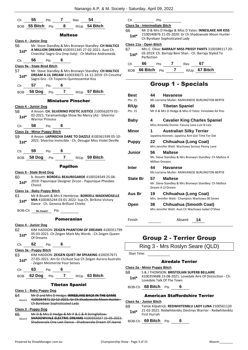|         | Ch 55 Pts 7 Res 54           |            |                                |                                             |                                                                                                                 |
|---------|------------------------------|------------|--------------------------------|---------------------------------------------|-----------------------------------------------------------------------------------------------------------------|
|         |                              |            |                                |                                             | BOB 55 Bitch Pts 8 R/Up 54 Bitch                                                                                |
|         |                              |            | Maltese                        |                                             |                                                                                                                 |
|         | Class 4 - Junior Dog         |            |                                |                                             |                                                                                                                 |
|         |                              |            |                                |                                             | 56 Mr. Steve Standley & Mrs Bronwyn Standley: CH MALTICE                                                        |
|         |                              |            |                                |                                             | 1st* A MILLION DREAMS 4100351345 27-02-2021: Aust Ch<br>Cinecitta' Sagro Gra (Imp Italy) - Ch Maltice Andromeda |
| Ch 56   |                              |            | Pts 6                          |                                             |                                                                                                                 |
|         | Class 9a - State Bred Bitch  |            |                                |                                             |                                                                                                                 |
|         |                              |            |                                |                                             | 57 Mr. Steve Standley & Mrs Bronwyn Standley: CH MALTICE                                                        |
|         |                              |            |                                | Sagro Gra - Ch Toiperro Quintessential Kiss | 1st* DREAM A LIL DREAM 4100330675 14-12-2019: Ch Cincetta'                                                      |
|         | Ch 57 Pts 6                  |            |                                |                                             |                                                                                                                 |
|         |                              |            |                                |                                             | BOB 56 Dog Pts 7 R/Up 57 Bitch                                                                                  |
|         |                              |            |                                | <b>Miniature Pinscher</b>                   |                                                                                                                 |
|         | Class 4 - Junior Dog         |            |                                |                                             |                                                                                                                 |
| 58 —    |                              |            |                                |                                             | A Anson: CH. SILVERINO POETIC JUSTICE 2100562079 02-                                                            |
| $1st^*$ | <b>Warrior Princess</b>      |            |                                |                                             | 02-2021: Yaramanlodge Show No Mercy (Ai) - Silverino                                                            |
|         | Ch 58 Pts 6                  |            |                                |                                             |                                                                                                                 |
|         | Class 2a - Minor Puppy Bitch |            |                                |                                             |                                                                                                                 |
|         |                              |            |                                |                                             | 59 A Anson: LAPINSCHA DARE TO DAZZLE 4100361599 05-10-                                                          |
|         |                              |            |                                |                                             | 1st* 2021: Silverino Invincible - Ch. Desugar Miss Violet Deville                                               |
|         | Ch 59 Pts 6                  |            |                                |                                             |                                                                                                                 |
|         |                              |            |                                |                                             | BOB 58 Dog Pts 7 R/Up 59 Bitch                                                                                  |
|         |                              |            | <b>Papillon</b>                |                                             |                                                                                                                 |
|         | Class 9 - State Bred Dog     |            |                                |                                             |                                                                                                                 |
| 60      |                              |            |                                |                                             | b. bissett: <b>BORDELL BEAUREGARDE</b> 4100324549 25-06-                                                        |
| 1st*    | Choice                       |            |                                |                                             | 2019: Papunique Designer Zircon - Papunique Pheobes                                                             |
|         | Class 1a - Baby Puppy Bitch  |            |                                |                                             |                                                                                                                 |
| 61      |                              |            |                                |                                             | Mr B Bissett & Mrs K Hembrow: <b>BORDELL MADEMOSELLE</b>                                                        |
| 1st*    |                              |            |                                | Dance - Ch. Genesia Brilliant Chieko        | MIA 4100365244 03-01-2022: Sup.Ch. Birikino Victory                                                             |
| BOB-Ch  | No Award                     |            | Pts                            |                                             |                                                                                                                 |
|         |                              |            |                                |                                             |                                                                                                                 |
|         | Class 4 - Junior Dog         |            | Pomeranian                     |                                             |                                                                                                                 |
| 62      |                              |            |                                |                                             | KIM HADDON: <b>ZEIGEN PHANTOM OF DREAMS</b> 4100351799                                                          |
| $1st*$  |                              |            |                                |                                             | 05-03-2021: Ch Zeigen Mark My Words - Ch Zeigen Queen                                                           |
|         | Of Dreams<br>62              |            | 6                              |                                             |                                                                                                                 |
| Сh      | Class 3a - Puppy Bitch       | Pts        |                                |                                             |                                                                                                                 |
| 63      |                              |            |                                |                                             | KIM HADDON: ZEIGEN QUIET IM SPEAKING 4100357671                                                                 |
| 1st*    |                              |            | - Zeigen Mesmerize Your Senses |                                             | 27-05-2021: Am Gr Ch/Aust Sup Ch Zeigen Aurora Australis                                                        |
| Сh      | 63                           | <b>Pts</b> | 6                              |                                             |                                                                                                                 |
| BOB     | 62 Dog                       | Pts        | 7                              |                                             | R/Up 63 Bitch                                                                                                   |
|         |                              |            |                                | <b>Tibetan Spaniel</b>                      |                                                                                                                 |
|         | Class 1 - Baby Puppy Dog     |            |                                |                                             |                                                                                                                 |
| 64      |                              |            |                                |                                             | Mr D and Mrs D Hedge: INNESLAKE BACK IN THE GAME                                                                |
| Absent  |                              |            | Ch Byrebaer Sophisticated Lady |                                             | 4100364871 22-12-2021: Gr Ch Shadowvale Moon Hunter -                                                           |
|         | Class 3 - Puppy Dog          |            |                                |                                             |                                                                                                                 |
| 65      |                              |            |                                |                                             | Mr D & Mrs D Hedge & Mr P & C & R Stringfellow:                                                                 |

**SHADOWVALE ELECTRIC DREAMS** 4100355027 15-05-2021: Shadowvale One Last Dance - Shadowvale Dream Of Jeanie Absent

Ch Pts

#### **Class 5a - Intermediate Bitch**

66 Mr D & Mrs D Hedge & Miss D Yates: **INNESLAKE AIR KISS** 2100540876 21-05-2020: Gr Ch Shadowvale Moon Hunter - 1st\* 2100540876 21-05-2020: Gr Ch<br>Ch Byrebaer Sophisticated Lady

#### **Class 11a - Open Bitch**

| 67<br>$1st*$ | Mrs C. Olive: BARRAJY MISS PRISSY PANTS 3100389117 20-<br>03-2019: Ch. Barrajy Beni Shan - Ch. Barrajy Styled To<br>Perfection |
|--------------|--------------------------------------------------------------------------------------------------------------------------------|
|              |                                                                                                                                |

| Ch. | 66                 | <b>Pts</b> | <b>Res</b> |               |
|-----|--------------------|------------|------------|---------------|
|     | BOB 66 Bitch $Pts$ |            |            | R/Up 67 Bitch |

## Group 1 - Specials

| Best            | 44                          | <b>Havanese</b>                                                                              |
|-----------------|-----------------------------|----------------------------------------------------------------------------------------------|
| Pts: 25         |                             | Ms Lorraine Muller: RAINVANESE BURLINGTON BERTIE                                             |
| R/Up            | 66                          | <b>Tibetan Spaniel</b>                                                                       |
| Pts: 15         |                             | Mr D & Mrs D Hedge & Miss D Yates: Inneslake Air Kiss                                        |
| Baby            | 4                           | <b>Cavalier King Charles Spaniel</b><br>Miss Amanda Dunne: Fasusq Love Lust N Lies           |
| Minor           | 1                           | <b>Australian Silky Terrier</b><br>Japatina Kennels: Japatina Aint Got Time For Dat          |
| <b>Puppy</b>    | 22                          | <b>Chihuahua (Long Coat)</b><br>Mrs Jennifer Watt: Wachowa Sorisso Penny Lane                |
| Junior          | 56<br><b>Million Dreams</b> | <b>Maltese</b><br>Mr. Steve Standley & Mrs Bronwyn Standley: Ch Maltice A                    |
| Inter           | 44                          | <b>Havanese</b><br>Ms Lorraine Muller: RAINVANESE BURLINGTON BERTIE                          |
| <b>State Br</b> | 57                          | <b>Maltese</b><br>Mr. Steve Standley & Mrs Bronwyn Standley: Ch Maltice<br>Dream A Lil Dream |
| Aus Br          | 19                          | Chihuahua (Long Coat)<br>Mrs. Jennifer Watt: Champion Wachowa 00 Seven                       |
| Open            | 38                          | <b>Chihuahua (Smooth Coat)</b><br>Mrs Jennifer Watt: Aust Ch Wachowa Isabel O'Shea           |

Finish Absent **14**

## Group 2 - Terrier Group

Ring 3 - Mrs Roslyn Seare (QLD)

Start Time:

#### Airedale Terrier

- **Class 2a - Minor Puppy Bitch**
- 68 S & J THOMSON: **BRISTOLIAN SUPERB BELLAIRE**
- 4100359688 23-08-2021: Lovedale Aire Of Distinction Ch. Lovedale Talk Of The Town **1st\***

BOB-Ch **68 Bitch** Pts **6**

#### American Staffordshire Terrier

#### **Class 4a - Junior Bitch**

69 Tamie Kilpatrick: **REDWHITENBLU LADY LUNA** 2100561120 21-02-2021: Redwhitenblu Destinys Warrior - Redwhitenblu First Hurrah **1st\***

BOB-Ch **69 Bitch** Pts **6**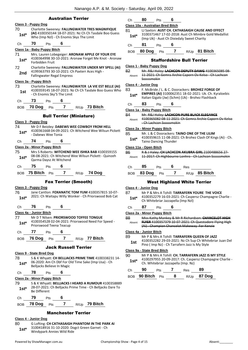|               |                                                                             |                            | <b>Australian Terrier</b>       |                                                                                                                   | Ch            | 80                                | Pts | 6                                             |            |                                                                                                                                                             |
|---------------|-----------------------------------------------------------------------------|----------------------------|---------------------------------|-------------------------------------------------------------------------------------------------------------------|---------------|-----------------------------------|-----|-----------------------------------------------|------------|-------------------------------------------------------------------------------------------------------------------------------------------------------------|
|               | Class 3 - Puppy Dog                                                         |                            |                                 |                                                                                                                   |               | Class 10a - Australian Bred Bitch |     |                                               |            |                                                                                                                                                             |
| 70<br>$1st*$  | Who (Imp NzI) - Ch Enomis Skys The Limit                                    |                            |                                 | Charlotte Sweeney: FALLINGWATER TRES MAGNIFIQUE<br>(AI) 4100350144 18-07-2021: Nz Ch Ch Tasdale Boo Guess         | 81<br>$1st*$  |                                   |     | (Imp Uk) - Aust Ch Dixiedaly Sweet Charity    |            | LJ Saxton: AUST CH. CATHASAIGH CAUSE AND EFFECT<br>3100371467 17-02-2018: Aust Ch Mimbre Gold Medallist                                                     |
| Ch            | 70<br>Pts                                                                   | 6                          |                                 |                                                                                                                   | Ch            | 81                                | Pts | 6                                             |            |                                                                                                                                                             |
|               | Class 1a - Baby Puppy Bitch                                                 |                            |                                 |                                                                                                                   |               |                                   |     |                                               |            | $R/Up$ 81 Bitch                                                                                                                                             |
| 71<br>$1st^*$ | Forbidden Fruit                                                             |                            |                                 | Mrs. Lauren Lobegeiger: ARONAW APPLE OF YOUR EYE<br>4100364998 30-10-2021: Aronaw Forget Me Knot - Aronaw         | <b>BOB</b>    | 80 Dog $Pts$ 7                    |     | <b>Staffordshire Bull Terrier</b>             |            |                                                                                                                                                             |
| 72            |                                                                             |                            |                                 | Charlotte Sweeney: FALLINGWATER UNDER MY SPELL (AI)                                                               |               | Class 1 - Baby Puppy Dog          |     |                                               |            |                                                                                                                                                             |
| 2nd           | 4199363793 30-10-2021: Ch Paxterr Aces High -<br>Fallingwater Regal Empress |                            |                                 |                                                                                                                   | 82<br>Absent  | Ssssssmokin                       |     |                                               |            | Mr. R&J Haley: LACHCON DEPUTY DAWG 4100365085 08-<br>11 2021: Ch Gemra Archie Caporn Ov Kelso - Ch Lachcon                                                  |
|               | Class 3a - Puppy Bitch                                                      |                            |                                 |                                                                                                                   |               |                                   |     |                                               |            |                                                                                                                                                             |
| 73            |                                                                             |                            |                                 | Charlotte Sweeney: FALLINGWATER LA VIE EST BELLE (AI)                                                             | 83            | Class 4 - Junior Dog              |     |                                               |            | F. McBride / L. & C. Doorackers: BROHEZ FORGE OF                                                                                                            |
| 1st           | - Ch Enomis Sky'S The Limit                                                 |                            |                                 | 4100359145 18-07-2021: Nz Ch Ch Tasdale Boo Guess Who                                                             | $1st*$        |                                   |     |                                               |            | EMPIRES (AI) 3100062351 18-02-2021: Uk. Ch. Kyraloebis<br>Italian Gigalo (Jw) (Schm) (Uk) - Brohez Flashback                                                |
| Ch            | 73<br>Pts                                                                   | 6                          |                                 |                                                                                                                   | Ch            | 83                                | Pts | 6                                             |            |                                                                                                                                                             |
| <b>BOB</b>    | 70 Dog $Pts$ 7 R/Up 73 Bitch                                                |                            |                                 |                                                                                                                   |               | Class 1a - Baby Puppy Bitch       |     |                                               |            |                                                                                                                                                             |
|               | Class 3 - Puppy Dog                                                         |                            | <b>Bull Terrier (Miniature)</b> |                                                                                                                   | 84<br>Absent  |                                   |     |                                               |            | Mr. R&J Haley: LACHCON PURE BLACK ELEGANCE<br>4100365082 08-11-2021: Ch Gemra Archie Caporn Ov Kelso                                                        |
| 74            |                                                                             |                            |                                 | Mr D F Beioley: DABEWS WEE COWBOY FROM HELL                                                                       |               | - Ch Lachcon Ssssssmokin          |     |                                               |            |                                                                                                                                                             |
| $1st*$        |                                                                             |                            |                                 | 4100361668 04-09-2021: Ch Witchend Wee Wilsun Pickett                                                             |               | Class 2a - Minor Puppy Bitch      |     |                                               |            |                                                                                                                                                             |
| Ch            | - Dabews Wee Tonia<br>74<br>Pts                                             | 6                          |                                 |                                                                                                                   | 85<br>$1st*$  | <b>Taino Dancing Thunder</b>      |     |                                               |            | Mr. L & C Doorackers: TAINO ONE OF THE LILIM<br>4100359615 11-08-2021: Ch Brohez Clash Of Kings (Ai) - Ch.                                                  |
|               | Class 2a - Minor Puppy Bitch                                                |                            |                                 |                                                                                                                   |               | Class 11a - Open Bitch            |     |                                               |            |                                                                                                                                                             |
| 75<br>$1st*$  | Qarma Daysz At Witchend                                                     |                            |                                 | Mrs S Roberts: WITCHEND WEE ISHKA BAB 4100359155<br>08-08-2021: Ch Witchend Wee Wilsun Pickett - Quinzeh          | 86<br>Absent  |                                   |     |                                               |            | R & J Haley: CH LACHCON AKUBRA GIRL 2100488656 27-<br>11 2017: Ch Highbourne Lonhro Ch Lachcon Ssssssmokin                                                  |
| Ch            | 75<br>Pts                                                                   | 6                          |                                 |                                                                                                                   | Ch            | 85                                | Pts | 6                                             | <b>Res</b> |                                                                                                                                                             |
|               | BOB 75 Bitch Pts                                                            | $\overline{\mathbf{r}}$    | R/Up                            | 74 Dog                                                                                                            | <b>BOB</b>    | 83 Dog                            | Pts | 7                                             |            | R/Up 85 Bitch                                                                                                                                               |
|               |                                                                             |                            | <b>Fox Terrier (Smooth)</b>     |                                                                                                                   |               |                                   |     |                                               |            | <b>West Highland White Terrier</b>                                                                                                                          |
|               |                                                                             |                            |                                 |                                                                                                                   |               |                                   |     |                                               |            |                                                                                                                                                             |
|               | Class 3 - Puppy Dog                                                         |                            |                                 |                                                                                                                   |               | Class 4 - Junior Dog              |     |                                               |            |                                                                                                                                                             |
| 76<br>$1st^*$ |                                                                             |                            |                                 | Jane Cantlon: FOXANATIC TOM YUM 4100357815 10-07-<br>2021: Ch Waitapu Willy Wonker - Ch Priorswood Bob Cat        | 87<br>$1st^*$ |                                   |     | Ch Whitebriar Jazzapella (Imp Nzl)            |            | Mr P & Mrs A Tohill: TARRAFERN YOURE THE VOICE<br>4100352279 16-03-2021: Ch Caspersz Champagne Charlie -                                                    |
| Ch            | 76<br>Pts                                                                   | 6                          |                                 |                                                                                                                   | Ch            | 87                                | Pts | 6                                             |            |                                                                                                                                                             |
|               | Class 4a - Junior Bitch                                                     |                            |                                 |                                                                                                                   |               | Class 2a - Minor Puppy Bitch      |     |                                               |            |                                                                                                                                                             |
| 77<br>$1st^*$ | Mr D T Nilsen: PRIORSWOOD TOFFEE TONGUE<br>Priorswood Teena Teacup          |                            |                                 | 4100354528 02-04-2021: Priorswood Need For Speed -                                                                | 88<br>Absent  |                                   |     |                                               |            | Miss Kathy Mankey & Mr R Richardson: CHANCELOT HIGH<br>FLYER 4100357379 10-07-2021; Ch Questadore Flying High<br>(Ai) Champion Chancelot Makeway For Kenzie |
|               |                                                                             |                            |                                 |                                                                                                                   |               |                                   |     |                                               |            |                                                                                                                                                             |
| Ch            | 77<br>Pts<br>BOB 76 Dog Pts 7                                               | 6                          |                                 | R/Up 77 Bitch                                                                                                     | 89<br>1st     | Class 4a - Junior Bitch           |     |                                               |            | Mr P & Mrs A Tohill: TARRAFERN QUEEN OF JAZZ<br>4100352282 29-03-2021: Nz Ch Sup Ch Whitebriar Juan Del                                                     |
|               |                                                                             |                            | <b>Jack Russell Terrier</b>     |                                                                                                                   |               |                                   |     | Pino (Imp Nz) - Ch Tarrafern Jazz Is My Style |            |                                                                                                                                                             |
|               | Class 9 - State Bred Dog                                                    |                            |                                 |                                                                                                                   |               | Class 9a - State Bred Bitch       |     |                                               |            |                                                                                                                                                             |
| 78<br>$1st^*$ |                                                                             |                            |                                 | S & K Whyatt: CH BELLJACKS PRIME TIME 4100338231 14-<br>06-2020: Am Ch Dbf For Old Time Sake (Imp Usa) - Ch       | 90<br>$1st*$  |                                   |     | Ch. Whitebriar Jazzapella (Imp. Nz)           |            | Mr P & Mrs A Tohill: CH. TARRAFERN JAZZ IS MY STYLE<br>4100297955 20-09-2017: Ch. Caspersz Champagne Charlie -                                              |
|               | Belljacks Believe In Magic                                                  |                            |                                 |                                                                                                                   | Ch            | 90                                |     | Pts 7 Res                                     |            | 89                                                                                                                                                          |
| Ch            | 78<br>Pts                                                                   | $\overline{\phantom{a}}$ 6 |                                 |                                                                                                                   |               | BOB <b>90 Bitch</b> Pts 8         |     |                                               | R/Up       | 87 Dog                                                                                                                                                      |
| 79<br>$1st^*$ | Class 2a - Minor Puppy Bitch<br><b>Be Different</b>                         |                            |                                 | S & K Whyatt: BELLJACKS I HEARD A RUMOUR 4100358889<br>28-07-2021: Ch Belljacks Prime Time - Ch Belljacks Dare To |               |                                   |     |                                               |            |                                                                                                                                                             |
| Ch            | 79<br>Pts                                                                   | 6                          |                                 |                                                                                                                   |               |                                   |     |                                               |            |                                                                                                                                                             |

#### **Class 4 - Junior Dog**

80 G Lofting: **CH CATHASAIGH PHANTOM IN THE PARK AI** 3100418916 31-10-2020: Dogct Green Garnet - Ch Windypark Annies Wild Ride **1st\***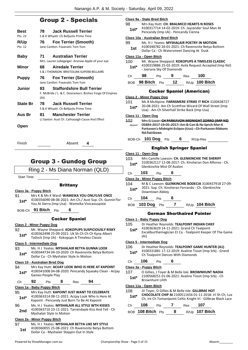## Group 2 - Specials

| Best<br>Pts: 22 | <b>Jack Russell Terrier</b><br>78.<br>S & K Whyatt: Ch Belljacks Prime Time                                  |
|-----------------|--------------------------------------------------------------------------------------------------------------|
| R/Up<br>Pts: 12 | <b>Fox Terrier (Smooth)</b><br>76<br>Jane Cantlon: Foxanatic Tom Yum                                         |
| Baby            | <b>Australian Terrier</b><br>71<br>Mrs. Lauren Lobegeiger: Aronaw Apple of your eye                          |
| Minor           | <b>Airedale Terrier</b><br>68<br>S & J THOMSON: BRISTOLIAN SUPERB BELLAIRE                                   |
| Puppy           | <b>Fox Terrier (Smooth)</b><br>76<br>Jane Cantlon: Foxanatic Tom Yum                                         |
| Junior          | <b>Staffordshire Bull Terrier</b><br>83.<br>F. McBride / L. & C. Doorackers: Brohez Forge Of Empires<br>(AI) |
| <b>State Br</b> | <b>Jack Russell Terrier</b><br>78<br>S & K Whyatt: Ch Belljacks Prime Time                                   |
| Aus Br          | <b>Manchester Terrier</b><br>81<br>LJ Saxton: Aust Ch. Cathasaigh Cause And Effect                           |
| Open            |                                                                                                              |

## Group 3 - Gundog Group

Finish Absent **4**

Ring 2 - Ms Diana Norman (QLD)

Start Time:

#### **Brittany**

**Class 3a - Puppy Bitch**

91 Mrs K & Ms K Ward: **WAMEIKA YOU ONLYLIVE ONCE** 4100356090 08-06-2021: Am Ch./ Aust Sup. Ch. Gunnin'for You At Sierra (Imp Usa) - Wameika Vivicaouspixie **1st\***

BOB-Ch **91 Bitch** Pts **6**

#### Cocker Spaniel

#### **Class 2 - Minor Puppy Dog**

- 92 Mr. Wayne Sheppard: **KOKOPUPS SUSPICIOUSLY RISKY** 4100362498 25-09-2021: Uk Sh Ch Ch Ch Kyna Albert
	- **1st** 4100362498 25-09-2021: UK Shien Chich Kyha<br>Tatlock (Imp Uk) Kokopups A Timeless Classic

#### **Class 5 - Intermediate Dog**

93 Ms. H J Yeates: **MYSHALAIR BETYA GUNNA LOOK** 4100344734 04-10-2020: Ch Ravensnite Betya Bottom Dollar Ca - Ch Myshalair Style In Motion **1st\***

#### **Class 10 - Australian Bred Dog**

94 Mrs Kay Hutt: **ACIJAY LOOK WHO IS HERE AT KAPOINT** 4100341008 04-08-2020: Pencandy Squeaky Clean - Acijay 1st\* 4100341008 04-08-<br>Games People Play

Ch **92** Pts **8** Res **94**

#### **Class 1a - Baby Puppy Bitch**

- 95 Mrs Kay Hutt: **KAPOINT JUST WANT TO CELEBRATE** 4100363314 08-11-2021: Acijay Look Who Is Here At 1st\* 4100363314 08-11-2021: Acijay Look Who Is H<br>Kapoint - Pencandy Just Born To Be At Kapoint
- 96 Ms. H J Yeates: **MYSHALAIR ALL STYLE WTH KISSES** 4100363710 23-11-2021: Tarrendayle Kiss And Tell - Ch 2nd 4100363710 23-11-2021:<br>Myshalair Style In Motion

#### **Class 2a - Minor Puppy Bitch**

97 Ms. H J Yeates: **MYSHALAIR BETYA LIKE MY STYLE** 4100360055 25-08-2021: Ch Ravensnite Betya Bottom **1st** 4100360055 25-08-2021: Ch Ravenshite B<br>Dollar Ca - Myshalair Steppin Out In Style

#### **Class 9a - State Bred Bitch**

98 Mrs Kay Hutt: **CH. BRALMICO HEARTS N ROSES** 4100317714 14-02-2019: Ch. Jayzander Soul Man At **1st** <sup>4100317714 14-02-2019: Ch. Jayzande<br>Pencandy (Imp Uk) - Pencandy Cienna</sup>

#### **Class 10a - Australian Bred Bitch**

99 Ms. H J Yeates: **MYSHALAIR POETRY IN MOTION** 4100348782 26-01-2021: Ch Ravensnite Betya Bottom **1st** 4100348782 26-01-2021: Ch Ravenshite Bety<br>Dollar Ca - Ch Watersmeet Dancing At Dusk

#### **Class 11a - Open Bitch**

100 Mr. Wayne Sheppard: **KOKOPUPS A TIMELESS CLASSIC** 4100319886 25-02-2019: Avila Request Accepted (Imp Nzl) - Joerana Sky Of Diamonds **1st\***

| Ch — | 98               | <b>Pts</b> | - 9 | Res | 100                 |
|------|------------------|------------|-----|-----|---------------------|
|      | BOB 98 Bitch Pts |            |     |     | 12 $R/Up$ 100 Bitch |

### Cocker Spaniel (American)

#### **Class 2 - Minor Puppy Dog**

101 Ms B McAlpine: **FARNSMERE STRIKE IT RICH** 3100438727 20-08-2021: Am Ch Scottfree Wizard Of Wall Street (Imp Usa) - Am Ch Silverhall Strike Back (Imp Usa) **1st\***

#### **Class 11 - Open Dog**

102 Mrs G Lazar: **CH PARKAVON MIDNIGHT ZORRO (IMP NZ)** 05884-2017 19-05-2017: Am & Can & Nz Sprch Mar-K Parkavon's Midnight Eclipse (Usa) - Ch Parkavon Ribbons Nd Rainbows Absent

#### BOB-Ch **101 Dog** Pts **6** R/Up-Res

#### English Springer Spaniel

#### **Class 11 - Open Dog**

- 103 Mrs Camille Lawson: **CH. GLENKINCHIE THE SHERIFF** 3100362117 12-08-2017: Ch. Kinsheran Don Alfonso - Ch. 1st<sup>\*</sup> 3100362117 12-08-2017: C<br>Glenkinchie Mist Of Avalon
- Ch **103** Pts **6**
- **Class 2a - Minor Puppy Bitch**
- 104 M & C Lawson: **GLENKINCHIE BODECIA** 3100437918 27-09- 2021: Sup. Ch. Kinsheran Ferrando - Ch. Glenkinchie 1st<sup>\*</sup> <sup>2021:</sup> Sup. Ch. Kin<br>Downtown Abbey

#### Ch **104** Pts **6**

BOB **103 Dog** Pts **7** R/Up **104 Bitch**

#### German Shorthaired Pointer

#### **Class 1 - Baby Puppy Dog**

- 105 Dr Heather Reynolds: **TEALPOINT INDIAN CHIEF**
- 4100363629 14-11-2021: Grand Ch Tealpoint Excaliburthemagician Et Ca - Tealpoint Keeper Of The Game (Ai) **1st\***

#### **Class 5 - Intermediate Dog**

#### 106 Dr Heather Reynolds: **TEALPOINT GAME HUNTER (A1)**

4100331881 17-12-2019: Avaline Tissot (Imp Srb) - Grand **1st**\* 4100331881 17-12-2019: Avaline list<br>Ch Tealpoint Dances With Diamonds

### Ch **106** Pts **6**

#### **Class 3a - Puppy Bitch**

107 O Gillies, J Toyer & M Belle Isle: **BROWNHUNT NADIA** 2100568251 01-06-2021: Avaline Tissot (Imp Srb) - Ch 1st\* <sup>2100568251 01-0</sup><br>Brownhunt Lilith

#### **Class 11a - Open Bitch**

- 108 JV Toyer, O Gillies & M Belle Isle: **GILLBRAE HOT**
- **CHOCOLATE CHIP AI** 2100511656 01-11-2018: Irl Sh Ch, Lux **1st\*** CHOCOLATE CHIP AT 2100511656 01-11-2018: Irl Sn Ch, Lux<br>Ch, Int Ch Tomanipoint Celtic Knight Irl - Gillbrae Black Lace

| C <sub>h</sub> | 108               | <b>Pts</b> |     | Res | 107                       |
|----------------|-------------------|------------|-----|-----|---------------------------|
|                | BOB 108 Bitch Pts |            | - 8 |     | <sub>R/Up</sub> 107 Bitch |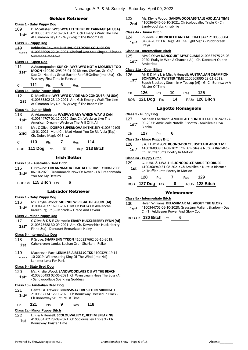#### Golden Retriever

#### **Class 1 - Baby Puppy Dog**

109 D. McAllister: **WYSIWYG LET THERE BE CARNAGE (AI USA)** 4100363501 23-10-2021: Am. Gch Emery's Walk The Line **1st** 4100363501 23-10-2021: Am. GCH EMEY'S Walk<br>At Cinamon Bay Dn - Wysiwyg If The Broom Fits

#### **Class 3 - Puppy Dog**

110 Rebbecka Rowett: **SIHSHAD GET YOUR SOLDIER ON** 4100356099 22-04-2021: Sihshad Uno Soul Singer - Sihshad Summer Time Love Absent

#### **Class 11 - Open Dog**

- 111 A.Adamopoulos: **SUP CH. WYSIWYG NOT A MOMENT TOO**
- **MOON** 4100301295 06-01-2018: Am. Ch/Can. Gr. Ch/ Sup.Ch. Nautilus Great Barrier Reef @Online (Imp Usa) - Ch. Wysiwyg First Time In Forever **1st\***

Ch **111** Pts **6** Res

#### **Class 1a - Baby Puppy Bitch**

- 112 D. McAllister: **WYSIWYG DIVIDE AND CONQUER (AI USA)** 4100363502 23-10-2021: Am. Gch Emery's Walk The Line **1st** 4100363502 23-10-2021: Am. GCh Emery's Walk<br>At Cinamon Bay Dn - Wysiwyg If The Broom Fits
	-

#### **Class 4a - Junior Bitch**

#### 113 A. Adamopoulos: **WYSIWYG ANY WHICH WAY U CAN**

- 4100344707 01-12-2020: Sup. Ch. Wysiwyg Livn The American Dream - Wysiwyg The Frill Of It All **1st\***
- 114 Mrs C Olive: **DOBRO SUPERNOVA IN THE SKY** 4100349105 10-01-2021: Multi Ch. Mad About You De Ria Vela (Esp) - **2nd** IV-01-2021: Multi Ch. Ma<br>Ch. Dobro Magic Of Enya

| J. | ເວ | œ<br>__ | 14 |  |
|----|----|---------|----|--|
|    |    |         |    |  |

BOB **111 Dog** Pts **8** R/Up **113 Bitch**

#### Irish Setter

#### **Class 10a - Australian Bred Bitch**

115 G Browne: **EIREANNMADA TIME AFTER TIME** 3100417906 06-10-2020: Eireannmada Now Or Never - Ch Eireannmada You Are My Destiny **1st\***

BOB-Ch **115 Bitch** Pts **6**

#### Labrador Retriever

#### **Class 1 - Baby Puppy Dog**

- 116 Ms. Khylie Wood: **MORNDEW REGAL TREASURE (AI)** 3100442072 16-11-2021: Int Ch Pol Gr Ch Avalanche
- **1st** 3100442072 16-11-2021: Int Ch Pol Gr Ch Ava<br>Kreuzburg (Pol) Morndew Grace And Favour

#### **Class 2 - Minor Puppy Dog**

117 C Olive & K & E Charnock: **ERAKY HUCKLEBERRY FYNN (AI)** 2100575688 30-09-2021: Am. Ch. Devonshire Huckleberry Finn (Usa) - Dancourt Remarkable Haley **1st\***

#### **Class 5 - Intermediate Dog**

- 118 P Grove: **SHARKENN TYRON** 4100327662 05-10-2019:
	- Caherciveen Landas Lochan Ora Sharkenn Reiko **1st**
- 119 Mackenzie Parr: **LENIMER AIREES JC TKS** 4100329119 14- 10-2019: Willowspring King Of The Wind (Imp Nzl) - Lenimer Lexa For Paris Absent

#### **Class 9 - State Bred Dog**

- 120 Ms. Khylie Wood: **SANDWOODLABS C U AT THE BEACH**
	- 4100356493 02-06-2021: Ch Wynstream Heez The Boss (Ai) 1st\* 4100356493 02-06-2021: Ch Wynst<br>Sandwoodlabs Sparkling Goddess

#### **Class 10 - Australian Bred Dog**

- 121 Henzell & Travers: **BONNSWAY DRESSED IN MIDNIGHT**
	- 2100552734 12-11-2020: Ch Bonnsway Dressed In Black **1st** 2100552734 12-11-2020: Ch Bonnsway Sculpture Of Time

| Ch | 121 | Pts | Res | 118 |
|----|-----|-----|-----|-----|
|    |     |     |     |     |

#### **Class 2a - Minor Puppy Bitch**

122 L, R & A Henzell: **SCOLOUVALLEY QUIET IM SPEAKING** 4100364502 23-09-2021: Ch Scolouvalley Triple X - Ch Bonnsway Twister Time **1st**

- 123 Ms. Khylie Wood: **SANDWOODLABS TALE ASOLDAS TIME** 4100364546 06-10-2021: Ch Scolouvalley Triple X - Ch
- Sandwoodlabs Kirrabillie **2nd**

#### **Class 4a - Junior Bitch**

124 P Grove: **PUDDNCREEK AND ALL THAT JAZZ** 2100560804 04-04-2021: Ch. Degel All The Right Signs - Puddncreek **1st**\* <sup>U4-U4</sup><br>Freva

#### **Class 5a - Intermediate Bitch**

- 125 Mrs C Olive: **DANCOURT MYSTIC JADE** 2100537975 25-03-
- 2020: Eraky In With A Chance ( Ai) Ch. Dancourt Queen 1st\* <sup>2020:</sup> Erak<br>Amberlou

#### **Class 11a - Open Bitch**

126 Mr R & Mrs L & Miss A Henzell: **AUSTRALIAN CHAMPION** 

- **BONNSWAY TWISTER TIME** 2100509995 28-11-2018: **1st\***
- Supch Blackboy Storm In A Teacup (Ai) Gr Ch Bonnsway A Matter Of Time

| Ch 126 Pts 10 Res 125 |  |                  |
|-----------------------|--|------------------|
| BOB 121 Dog Pts 14    |  | $R/Up$ 126 Bitch |

#### Lagotto Romagnolo

- **Class 3 - Puppy Dog**
- 127 Maneah Eberbach: **AMICILEALE SONDELLI** 4100362429 27- 09-2021: Amicileale Nutella Biscotto - Amicileale Diva Bianka **1st\***

#### Ch **127** Pts **6**

### **Class 2a - Minor Puppy Bitch**

128 S & J THOMSON: **BUONO-DOLCE JUST TALK ABOUT ME** 4100360939 31-08-2021: Ch. Amicileale Nutella Biscotto - **1st** 4100360939 31-08-2021: Ch. Amid<br>Ch. Trufflehunta Poetry In Motion

#### **Class 3a - Puppy Bitch**

| 128 | <b>Pts</b> |                                        | Res | 129                              |                                                                                                                          |
|-----|------------|----------------------------------------|-----|----------------------------------|--------------------------------------------------------------------------------------------------------------------------|
|     | <b>Pts</b> | 8                                      |     |                                  |                                                                                                                          |
|     |            | $\frac{1}{2}$ $\frac{1}{2}$<br>127 Dog |     | Ch Trufflehunta Poetry In Motion | G. LUND & J. WALL: BUONODOLCE MADE TO ORDER<br>4100360940 31-08-2021: Ch Amicileale Nutella Biscotto -<br>R/Up 128 Bitch |

#### Weimaraner

#### **Class 5a - Intermediate Bitch**

130 Helen Williams: **BELASHMAR ALL ABOUT THE GLORY** 4100344705 06-10-2020: Grausturn Valiant Shadow - Dual **1st**\* 4100344705 06-10-2020: Grausturn Va<br>Ch (T) Feldjaeger Power And Glory Ccd

BOB-Ch **130 Bitch** Pts **6**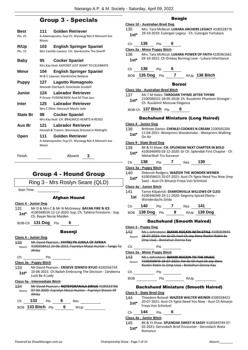## Group 3 - Specials

| Best<br>Pts: 25        | <b>Golden Retriever</b><br>111 -<br>A.Adamopoulos: Sup Ch. Wysiwyg Not A Moment too<br>Moon                                          |
|------------------------|--------------------------------------------------------------------------------------------------------------------------------------|
| R/Up<br>Pts: 15        | <b>English Springer Spaniel</b><br>103.<br>Mrs Camille Lawson: CH. Glenkinchie The Sheriff                                           |
| <b>Baby</b>            | <b>Cocker Spaniel</b><br>95<br>Mrs Kay Hutt: KAPOINT JUST WANT TO CELEBRATE                                                          |
| Minor                  | <b>English Springer Spaniel</b><br>104<br>M & C Lawson: Glenkinchie Bodecia                                                          |
| <b>Puppy</b>           | 127<br><b>Lagotto Romagnolo</b><br>Maneah Eberbach: Amicileale Sondelli                                                              |
| <b>Junior</b>          | <b>Labrador Retriever</b><br>124<br>P Grove: PUDDNCREEK And All That Jazz                                                            |
| Inter                  | Labrador Retriever<br>125<br>Mrs C Olive: Dancourt Mystic Jade                                                                       |
| <b>State Br</b>        | <b>Cocker Spaniel</b><br>98<br>Mrs Kay Hutt: CH. BRALMICO HEARTS N ROSES                                                             |
| Aus Br                 | <b>Labrador Retriever</b><br>121<br>Henzell & Travers: Bonnsway Dressed in Midnight                                                  |
| Open                   | Golden Retriever<br>111<br>A.Adamopoulos: Sup Ch. Wysiwyg Not A Moment too<br>Moon                                                   |
| Finish                 | Absent<br>3                                                                                                                          |
|                        | <b>Group 4 - Hound Group</b>                                                                                                         |
|                        | Ring 3 - Mrs Roslyn Seare (QLD)                                                                                                      |
| <b>Start Time:</b>     |                                                                                                                                      |
|                        | <b>Afghan Hound</b>                                                                                                                  |
| Class 4 - Junior Dog   |                                                                                                                                      |
| 131<br>1st*            | Mr D & Mrs C & Mr N McGreevy: BAYAN FIRE N ICE<br>4100348550 12-12-2020: Sup. Ch. Tahkira Firestorm - Sup.<br>Ch. Bayan Norse Maiden |
|                        | BOB-Ch 131 Dog Pts<br>6                                                                                                              |
|                        | <b>Basenji</b>                                                                                                                       |
| Class 4 - Junior Dog   |                                                                                                                                      |
| 132                    | Mr David Pearson.: FAYRELYN JUMLA OF AFRIKA                                                                                          |
| Absent<br>Afrika       | 4100358412 24 06 2021: Fayrelyn Masai Hunter Tango To                                                                                |
| Ch                     | Pts                                                                                                                                  |
| Class 3a - Puppy Bitch |                                                                                                                                      |
| 133<br>$1st^*$         | Mr David Pearson.: ERISEVE ZENNYO RYUO 4100356734<br>10-06-2021: Ch. Nailah Embracing The Decision - Zandeena<br>Luck Be A Lady      |
|                        | Class 5a - Intermediate Bitch                                                                                                        |
| 134<br>Absent          | Mr David Pearson.: NOTSYORANALA SIRIUS 4100333766<br>07-03-2020: Fayrelyn Masai Hunter - Fayrelyn Dream Of                           |
| Afrika                 |                                                                                                                                      |

## Ch **133** Pts **6** Res

BOB **133 Bitch** Pts **6** R/Up

|                                                            | <b>Beagle</b>                         |                                   |                               |        |                                            |                                                                                                              |  |  |
|------------------------------------------------------------|---------------------------------------|-----------------------------------|-------------------------------|--------|--------------------------------------------|--------------------------------------------------------------------------------------------------------------|--|--|
|                                                            | <b>Class 10 - Australian Bred Dog</b> |                                   |                               |        |                                            |                                                                                                              |  |  |
| Mrs. Tara McNicol: LUKARA ARCHERS LEGACY 4100328776<br>135 |                                       |                                   |                               |        |                                            |                                                                                                              |  |  |
|                                                            | $1st*$                                |                                   |                               |        |                                            | 29-10-2019: Culorgair Legacy - Ch. Culorgair Forlukara                                                       |  |  |
|                                                            |                                       |                                   |                               |        |                                            |                                                                                                              |  |  |
|                                                            | Сh                                    | 135                               | Pts                           | 6      |                                            |                                                                                                              |  |  |
|                                                            |                                       | Class 2a - Minor Puppy Bitch      |                               |        |                                            |                                                                                                              |  |  |
|                                                            | 136                                   |                                   |                               |        |                                            | Mrs. Tara McNicol: LUKARA POWER OF FAITH 4100361661                                                          |  |  |
|                                                            | $1st^*$                               |                                   |                               |        |                                            | 03-10-2021: Ch Orobay Burning Love - Lukara Inheritance                                                      |  |  |
|                                                            | Ch                                    | 136                               | Pts                           | 6      |                                            |                                                                                                              |  |  |
|                                                            |                                       |                                   |                               |        |                                            |                                                                                                              |  |  |
|                                                            | <b>BOB</b>                            | <b>135 Dog</b>                    | Pts                           | 7      |                                            | R/Up 136 Bitch                                                                                               |  |  |
|                                                            |                                       |                                   |                               | Borzoi |                                            |                                                                                                              |  |  |
|                                                            |                                       | Class 10a - Australian Bred Bitch |                               |        |                                            |                                                                                                              |  |  |
|                                                            | 137                                   |                                   |                               |        |                                            | Ms T M Hales: TARDOAN THYME AFTER THYME                                                                      |  |  |
|                                                            | $1st^*$                               |                                   |                               |        |                                            | 2100500321 28-05-2018: Ch. Russkimir Phantom Stranger -                                                      |  |  |
|                                                            |                                       |                                   | Ch. Russkimir Moscow Elegance |        |                                            |                                                                                                              |  |  |
|                                                            |                                       | BOB-Ch 137 Bitch Pts              |                               | 6      |                                            |                                                                                                              |  |  |
|                                                            |                                       |                                   |                               |        |                                            | <b>Dachshund Miniature (Long Haired)</b>                                                                     |  |  |
|                                                            |                                       | Class 4 - Junior Dog              |                               |        |                                            |                                                                                                              |  |  |
|                                                            | 138                                   |                                   |                               |        |                                            | Brittnee Davies: CHENLEI COOKIES N CREAM 2100565204                                                          |  |  |
|                                                            | 1st*                                  |                                   |                               |        |                                            | 11-04-2021: Westpriors Woodsmoke - Westpriors Walking                                                        |  |  |
|                                                            |                                       | On Air                            |                               |        |                                            |                                                                                                              |  |  |
|                                                            |                                       | <u>Class 9 - State Bred Dog</u>   |                               |        |                                            |                                                                                                              |  |  |
|                                                            | 139                                   |                                   |                               |        |                                            | BK & YJ Shaw: CH. SPLENDAK NEXT CHAPTER IN BOLD                                                              |  |  |
|                                                            | 1st*                                  |                                   |                               |        |                                            | 4100346993 03-12-2020: Gr Ch. Splendak First Chapter - Ch                                                    |  |  |
|                                                            |                                       |                                   | Maharlikah Tru Succesor       |        |                                            |                                                                                                              |  |  |
|                                                            | Ch                                    | 138                               | Pts                           | 7      | Res                                        | 139                                                                                                          |  |  |
|                                                            |                                       | <u> Class 3a - Puppy Bitch</u>    |                               |        |                                            |                                                                                                              |  |  |
|                                                            | 140                                   |                                   |                               |        |                                            | Deborah Rodgers: WAZEER THE WONDER WEINER                                                                    |  |  |
|                                                            | $1st*$                                |                                   |                               |        |                                            | 4100358423 20-07-2021: Aust Ch Ygeia Need You Now (Imp                                                       |  |  |
|                                                            |                                       |                                   |                               |        | Swe) - Aust Ch Almarjo Freya Von Schnitzel |                                                                                                              |  |  |
|                                                            |                                       | Class 4a - Junior Bitch           |                               |        |                                            |                                                                                                              |  |  |
|                                                            | 141                                   |                                   |                               |        |                                            | Tamie Kilpatrick: DIAMONVILLA WILLOWS OF CLEO                                                                |  |  |
|                                                            | 1st                                   |                                   |                               |        |                                            | 4100346349 29-11-2020: Gegreny Spiced Ebony -                                                                |  |  |
|                                                            |                                       |                                   | Wonderdachs Zelda             |        |                                            |                                                                                                              |  |  |
|                                                            | Christ                                | 140                               |                               |        | Pts 7 Res 141                              |                                                                                                              |  |  |
|                                                            |                                       |                                   |                               |        |                                            | BOB 138 Dog Pts 9 R/Up 139 Dog                                                                               |  |  |
|                                                            |                                       |                                   |                               |        |                                            |                                                                                                              |  |  |
|                                                            |                                       |                                   |                               |        |                                            | <b>Dachshund (Smooth Haired)</b>                                                                             |  |  |
|                                                            |                                       | Class 3 - Puppy Dog               |                               |        |                                            |                                                                                                              |  |  |
|                                                            | 142                                   |                                   |                               |        |                                            | Ms L Johnstone: BEKKRI ROCKIN WITH STYLE 4100359945<br>19-07-2021: Am Gr Ch Aust Ch Joy-Dens Rockin Robin Ss |  |  |
|                                                            | Absent                                |                                   | (Imp Usa) Boskahun Donna Kay  |        |                                            |                                                                                                              |  |  |
|                                                            |                                       |                                   |                               |        |                                            |                                                                                                              |  |  |

Ch Pts \_ **Class 2a - Minor Puppy Bitch**

#### 143 Ms L Johnstone: **BEKKRI ROCKIN TO THE MUSIC** Absent 4100359946 19-07-2021: Am Gr Ch Aust Ch Joy-Dens Rockin Robin Ss (Imp Usa) - Boskahun Donna Kay

Ch Pts

 $BOB$  Pts  $R/Up$ 

#### Dachshund Miniature (Smooth Haired)

#### **Class 9 - State Bred Dog**

- 144 Theodore Boland: **WAZEER WALTER WEINER** 4100358422
	- 20-07-2021: Aust Ch Ygeia Need You Now Aust Ch Almarjo Freya Von Schnitzel **1st\***

### Ch **144** Pts **6**

#### **Class 4a - Junior Bitch**

145 BK & YJ Shaw: **SPLENDAK SWEET N SASSY** 4100349749 07- 02-2021: Gersndach Brief Encounter - Gersndach Wata 1st<sup>\*</sup> U<sup>2-2021</sub>:</sup>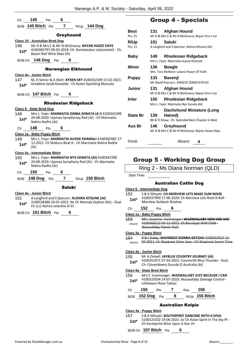| Сh         | 145                                   | Pts            | 6              |                            |                                                                                                                |  |
|------------|---------------------------------------|----------------|----------------|----------------------------|----------------------------------------------------------------------------------------------------------------|--|
|            | BOB 145 Bitch Pts                     |                | 7              |                            | R/Up 144 Dog                                                                                                   |  |
|            |                                       |                |                |                            |                                                                                                                |  |
|            |                                       |                | Greyhound      |                            |                                                                                                                |  |
|            | <b>Class 10 - Australian Bred Dog</b> |                |                |                            |                                                                                                                |  |
| 146        |                                       |                |                |                            | Mr D & Mrs C & Mr N McGreevy: BAYAN HAZEE DAYS<br>4100305797 08-03-2018: Ch. Rantalaukan Leijonamieli - Ch.    |  |
| $1st*$     | Bayan Red Wine Days (Ai)              |                |                |                            |                                                                                                                |  |
| BOB-Ch     |                                       | 146 $\log$ Pts | 6              |                            |                                                                                                                |  |
|            |                                       |                |                | <b>Norwegian Elkhound</b>  |                                                                                                                |  |
|            | Class 4a - Junior Bitch               |                |                |                            |                                                                                                                |  |
| 147        |                                       |                |                |                            | M, D Senior & A Watt: KYXEN SKY 4100352309 15-02-2021:                                                         |  |
| 1st*       |                                       |                |                |                            | Graabine Jacob Kowalski - Ch Kyxen Sparkling Moscato                                                           |  |
|            |                                       |                |                |                            |                                                                                                                |  |
|            | BOB-Ch 147 Bitch Pts                  |                | 6              |                            |                                                                                                                |  |
|            |                                       |                |                | <b>Rhodesian Ridgeback</b> |                                                                                                                |  |
|            | <b>Class 9 - State Bred Dog</b>       |                |                |                            |                                                                                                                |  |
| 148        |                                       |                |                |                            | Mrs L. Fejer: MARMATIA ZIMBA SONATA (AI) 4100342399                                                            |  |
| $1st*$     | Nekira Radha (Ai)                     |                |                |                            | 24-08-2020: Ujamaa Symphoney Red (Ai) - Ch Marmatia                                                            |  |
|            | 148                                   |                |                |                            |                                                                                                                |  |
| Ch         |                                       | Pts            | 6              |                            |                                                                                                                |  |
|            | Class 1a - Baby Puppy Bitch           |                |                |                            |                                                                                                                |  |
| 149        |                                       |                |                |                            | Mrs L. Fejer: MARMATIA AUSSIE KHAMALI 4100365982 17-<br>12-2021: Ch Shakuru Beat It - Ch Marmatia Nekira Radha |  |
| $1st*$     | (Ai)                                  |                |                |                            |                                                                                                                |  |
|            | Class 5a - Intermediate Bitch         |                |                |                            |                                                                                                                |  |
| 150        |                                       |                |                |                            | Mrs L. Fejer: MARMATIA NYX SONATA (AI) 4100342398                                                              |  |
| 1st*       | Nekira Radha (Ai)                     |                |                |                            | 24-08-2020: Ujamaa Symphony Red (Ai) - Ch Marmatia                                                             |  |
|            | 150                                   | Pts            | 6              |                            |                                                                                                                |  |
| Ch         |                                       |                |                |                            |                                                                                                                |  |
| <b>BOB</b> | 148 Dog                               | Pts            | $\overline{7}$ |                            | $R/Up$ 150 Bitch                                                                                               |  |
|            |                                       |                | <b>Saluki</b>  |                            |                                                                                                                |  |
|            | Class 4a - Junior Bitch               |                |                |                            |                                                                                                                |  |
| 151        |                                       |                |                |                            | A Langford and S Spencer: ALSHIRA KITSUNE (AI)                                                                 |  |

2100558386 26-01-2021: Nz Ch Mwinda Zephan (Nz) - Dual Ch (Lc) Alshira Iolanthe Ai Et **1st\***

BOB-Ch **151 Bitch** Pts **6**

## Group 4 - Specials

| Best            | 131  | <b>Afghan Hound</b>                                                  |
|-----------------|------|----------------------------------------------------------------------|
| Pts: 21         |      | Mr D & Mrs C & Mr N McGreevy: Bayan Fire n Ice                       |
| <b>R/Up</b>     | 151  | Saluki                                                               |
| Pts: 11         |      | A Langford and S Spencer: Alshira Kitsune (AI)                       |
| Baby            | 149. | <b>Rhodesian Ridgeback</b><br>Mrs L. Fejer: Marmatia Aussie Khamali  |
| Minor           | 136  | <b>Beagle</b>                                                        |
|                 |      | Mrs. Tara McNicol: Lukara Power Of Faith                             |
| <b>Puppy</b>    | 133  | <b>Basenji</b>                                                       |
|                 |      | Mr David Pearson.: ERISEVE ZENNYO RYUO                               |
| Junior          | 131  | Afghan Hound<br>Mr D & Mrs C & Mr N McGreevy: Bayan Fire n Ice       |
| <b>Inter</b>    | 150  | <b>Rhodesian Ridgeback</b><br>Mrs L. Fejer: Marmatia Nyx Sonata (AI) |
|                 |      | <b>Dachshund Miniature (Long</b>                                     |
| <b>State Br</b> | 139  | Haired)                                                              |
|                 |      | BK & YJ Shaw: Ch. Splendak Next Chapter in Bold                      |
| Aus Br          | 146  | Greyhound<br>Mr D & Mrs C & Mr N McGreevy: Bayan Hazee Days          |
| Finish          |      | Absent<br>4                                                          |

## Group 5 - Working Dog Group

Ring 2 - Ms Diana Norman (QLD)

Start Time:

#### Australian Cattle Dog

#### **Class 5 - Intermediate Dog**

| 152    | S & K Whyatt: CH MORVIEW LETS MAKE SUM NOISE         |
|--------|------------------------------------------------------|
| $1st*$ | 4100337990 17-06-2020: Ch Morview Lets Rock N Roll - |
|        | Morview Outback Shadow                               |

Ch **152** Pts **6**

**Class 1a - Baby Puppy Bitch**

153 Mrs. Suzanne Ironmonger: **WAZWALLABY VENI VIDI VICI** 4100366522 03-12-2021: Ch Blucalypt Wild Child - Wazwallaby Flamin Hott Absent

**Class 3a - Puppy Bitch**

- 154 R & J Haley: **WAYKREST GONNA GETCHA** 4100353552 12-
	- Absent 04-2021: Ch Waykrest Silver Sam Ch Waykrest Servin Time

#### **Class 4a - Junior Bitch**

155 Mr A.Ziebell: **JAYBLUE COUNTRY JOURNEY (AI)**

4100351471 07-03-2021: Coomerith Blue Thunder - Aust Ch. Cloverdowns Sounds O Australia (Ai) **1st\***

#### **Class 9a - State Bred Bitch**

156 Mrs S Ironmonger: **WAZWALLABY JUST BECAUSE I CAN** 4100325034 14-07-2019: Wazwallaby Damage Control - Littlewaco Rose Tattoo **1st\***

| Ch 155 Pts 7 Res 156 |  |                  |
|----------------------|--|------------------|
| BOB $152$ Dog Pts 8  |  | $R/Up$ 155 Bitch |

#### Australian Kelpie

#### **Class 3a - Puppy Bitch**

157 S & K Whyatt: **SOUTHSPIRIT DANCING WITH A DIVA**

5100125332 19-06-2021: Gr Ch Kalan Spirit In The Sky Pt - **1st** DIUULASSER 19-06-2021: Gr Ch Kalish Upon A Star Ht **1** 

BOB-Ch **157 Bitch** Pts **6**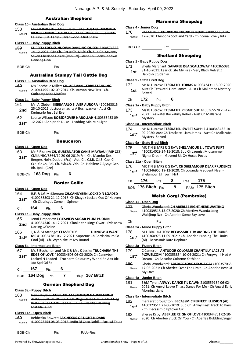#### Australian Shepherd

#### **Class 10 - Australian Bred Dog**

158 Miss D Puttock & Mr G Braithwaite: **AUST CH MAISILVA RISING EMPIRE** 2100407349 11-05-2014: Ch Blueamble Leisure Suit Larry - Silvanwood Mud Shake Absent

#### **Class 1a - Baby Puppy Bitch**

- 159 KL PEEK: **EDENSUNDOWN DANCING QUEEN** 2100576858 14-12-2021: Gbz Ch. Prt Jr Ch. Multi Ch. Sup Ch. Seventy Seven Cherised Desire (Imp Prt) - Aust Ch. Edensundown Dancing Diva Absent
- BOB-Ch Pts

#### Australian Stumpy Tail Cattle Dog

#### **Class 10 - Australian Bred Dog**

160 Ms Raechelle Miller: **CH. ARAVAN GERRY STANDING** 2100414951 02 09 2014: Ch. Aravan New Trix - Ch. Catlcamp Miss Muffett Absent

#### **Class 1a - Baby Puppy Bitch**

- 161 Mr. A. Ziebell: **KERIMARLO SILVER AURORA** 4100363015 25-10-2021: Justpuremac Its A Bushwacker - Aust Ch **2nd** <sup>25-10-2021: Justpurer</sup>
- 162 Louise Wilson: **BOSSDROVER NAROLLAH** 4100365453 09- 12-2021: Annipride Duke - Leaddog Min Min Light **1st\***
- BOB-Ch Pts

#### Beauceron

#### **Class 11 - Open Dog**

- 163 Mr R Riseley: **CH. GUBERNATOR CANIS MAYRAU (IMP CZE)** CMKU/BC/5864/19 20-06-2019: Frn. Ch. Mambo Des Bergers Noirs Du Jedi (Fra) - Aut. Ch. C.I.B. C.I.E. Cze. Ch. Cze. Gr Ch. Pol. Ch. Svk.Ch. Vdh. Ch. Habilete Z Ajysyt Ger. Bh. Ipo1. (Cze) **1st\***
- BOB-Ch **163 Dog** Pts **6**

#### Border Collie

#### **Class 11 - Open Dog**

164 R.F. & J.G.McKiernan: **CH.CANNYBEN LOCKED N LOADED** 4100285503 21-12-2016: Ch Khayoz Locked Out Of Heaven - Ch Classicyds Come In Spinner **1st\***

#### Ch **164** Pts **6**

#### **Class 1a - Baby Puppy Bitch**

- 165 Jenni Timperley: **EYLESVIEW SUGAR PLUM PUDDIN** 4100364346 14-12-2021: Clankelton Kings Owar - Eylesview 2nd <sup>4100304340</sup> 14-<br>Darling Of Mine
- 166 J, N & M Attridge: **CLASSICYDS U KNOW U WANT ME** 4100364781 06-12-2021: Supreme Ch Bordarita Im So 1st\* ML 4100364781 06-12-2021: Supreme<br>Cool (Ai) - Ch. Wynnlake Its My Round

#### **Class 5a - Intermediate Bitch**

- 167 Ms E Buchanan and Mr S & Mrs K Leslie: **TRUCHARM THE EDGE OF LOVE** 4100334608 06-03-2020: Ch Cannyben Locked N Loaded - Trucharm Colour My World Rn Adx Jdx Jdo Spd Gd Sd **1st\***
- Ch **167** Pts **6**

BOB **164 Dog** Pts **7** R/Up **167 Bitch**

#### German Shepherd Dog

#### **Class 3a - Puppy Bitch**

168 Irene Hayton: **AUST. CH. MASTERTON HAWAII FIVE O** 4100353616 21-04-2021: Ch. Brigenti Ice Fire 'A' 'Z' H-Neg Bscl.1 Et Ccd Cd Re Rae Ht - Ch. La Guardia Waltzing Matilda 'A' 'Z' Absent

#### **Class 11a - Open Bitch**

#### 169 Rebbecka Rowett: **FAX NEXUS OF LIGHT N DARK**

Absent 4100273454 08-03-2016: Indio Di Casa Nobili - Fax Iwi Toula

#### Maremma Sheepdog

#### **Class 4 - Junior Dog**

170 PM McNeill: **CHINCONA THUNDER ROAD** 2100554604 15- Absent 12-2020: Chincona Scotland Yard - Chincona Lovely Rita

BOB-Ch Pts

#### Shetland Sheepdog

#### **Class 1 - Baby Puppy Dog**

171 Sheila Marchant: **SAFAREE ISLA SCALLOWAY** 4100365081 31-10-2021: Learick Lite My Fire - Very Black Velvet Z **1st Dablovy Studanky** 

#### **Class 9 - State Bred Dog**

172 Ms KJ Lutzow: **TESSKATEL TOBIAS** 4100343431 18-09-2020: Aust Ch Tesskatel Liam James - Aust Ch Mallaraba Mystery 1st <sup>Aust C</sup>

#### Ch **172** Pts **6**

#### **Class 1a - Baby Puppy Bitch**

173 Ms KJ Lutzow: **TESSKATEL PEGGIE SUE** 4100365578 29-12- 2021: Tesskatel Rockabilly Rebel - Aust Ch Mallaraba **1st**\* 2021: Te<br>Mystery

#### **Class 5a - Intermediate Bitch**

174 Ms KJ Lutzow: **TESSKATEL SWEET SOPHIE** 4100343432 18- 09-2020: Aust Ch Tesskatel Liam James - Aust Ch Mallaraba **1st**\* UP-2020: Aust C<br>Mystery Solved

#### **Class 9a - State Bred Bitch**

- 175 MR T N & MRS R G RAY: **SHELAMOUR LIL TOWN FLIRT**
	- 4100314029 24-11-2018: Sup Ch Jaemist Midsummer
	- **1st** 4100314029 24-11-2018: Sup Ch Jaemist M<br>Nights Dream Gavend Bit Ov Hocus Pocus

| 176<br>$1st*$ |                       | Shelamour Lil Town Flirt |   |            | MR T N & MRS R G RAY: CH SHELAMOUR DEAR PRUDENCE<br>4100346955 19-12-2020: Ch Louanda Frequent Flyer - |  |
|---------------|-----------------------|--------------------------|---|------------|--------------------------------------------------------------------------------------------------------|--|
| Ch            | 176                   | <b>Pts</b>               | 8 | <b>Res</b> | 175                                                                                                    |  |
|               | $ROB$ 176 Bitch $Pts$ |                          | 9 |            | $R/Up$ 175 Bitch                                                                                       |  |

#### Welsh Corgi (Pembroke)

#### **Class 11 - Open Dog**

177 Gloria Woodward: **CH ABERLEE RIGHT HERE WAITING** 4100339518 13-07-2020: Ch Merthyr Wanda Long Wait(Imp Nz) - Ch Aberlee Some Say Love Absent

#### Ch Pts

#### **Class 2a - Minor Puppy Bitch**

- 178 M.J. BROUGHTON: **BECASSMIC LUV AMONG THE RUINS**
- 4100360975 11-09-2021: Ch. Aberlee Pushing The Limits (Ai) - Becassmic Kate Hepburn **1st\***

#### **Class 3a - Puppy Bitch**

- 179 C Cameron: **ANTUDOR COLORME CHANTILLY LACE AT**
- **PLZWELCOM** 4100353854 10-04-2021: Ch Fergwyn I Had A 1st\* PLZWELCOM 4100353854 10-04-2021<br>Dream - Ch Antudor Colorme Kathleen
- 180 Gloria Woodward: **ABERLEE LOVE MY WAY AI** 4100357065 17-06-2021: Ch Aberlee Over The Limit - Ch Aberlee Best Of My Love Absent

#### **Class 4a - Junior Bitch**

181 E&M Tyler: **ANWYL DANCE TIL DAWN** 2100559134 06-02- 2021: Ch Anwyl Leave Thlast Dance For Me - Ch Anwyl Early Morning Light Absent

#### **Class 5a - Intermediate Bitch**

- 182 margaret broughton: **BECASSMIC PERFECT ILLUSION (AI)** 4100323511 23-06-2019: Sup.Ch. Anwyl Fast Track To Paris
- 1st\* 4100323511 23-06-2019: Su<br>Ch. Becassmic Uptown Girl -
- 183 Sheree Kilby: **ABERLEE REIGN OF LOVE** 4100344751 02-10- Absent 2020: Ch Aberlee Stuck On You - Ch Aberlee Bubbling Sugar

176 MR T N & MRS R G RAY: **CH SHELAMOUR DEAR PRUDENCE**

# **Class 11a - Open Bitch**

| .      |     |          |  |
|--------|-----|----------|--|
| BOB-Ch | Pts | R/Up-Res |  |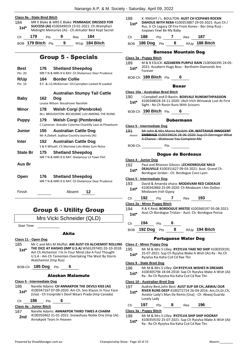

184 MR K Blake & MRS E Blake: **PEMMAGIC DRESSED FOR SUCCESS (AI)** 4100349019 13-01-2021: Ch.Wamphyri Midnight Memories (Ai) - Ch.Antudor Best Kept Secret **1st\*** Ch **179** Pts **9** Res **184** BOB **179 Bitch** Pts **9** R/Up **184 Bitch**

## Group 5 - Specials

| <b>Best</b> |       | 176 Shetland Sheepdog                                  |
|-------------|-------|--------------------------------------------------------|
| Pts: 20     |       | MR T N & MRS R G RAY: Ch Shelamour Dear Prudence       |
| R/Up        | 164 - | <b>Border Collie</b>                                   |
| Pts: 10     |       | R.F. & J.G.McKiernan: CH.Cannyben Locked N Loaded      |
|             |       | <b>Australian Stumpy Tail Cattle</b>                   |
| Baby        | 162   | Doa                                                    |
|             |       | Louise Wilson: Bossdrover Narollah                     |
| Minor       | 178   | <b>Welsh Corgi (Pembroke)</b>                          |
|             |       | M.J. BROUGHTON: BECASSMIC LUV AMONG THE RUINS          |
| Puppy       | 179   | <b>Welsh Corgi (Pembroke)</b>                          |
|             |       | C Cameron: Antudor Colorme Chantilly Lace at Plzwelcom |
| Junior      | 155   | <b>Australian Cattle Dog</b>                           |
|             |       | Mr A.Ziebell: Jayblue Country Journey (AI)             |
| Inter       | 152   | <b>Australian Cattle Dog</b>                           |
|             |       | S & K Whyatt: Ch Morview Lets Make Sum Noise           |
| State Br    | 175   | <b>Shetland Sheepdog</b>                               |
|             |       | MR T N & MRS R G RAY: Shelamour Lil Town Flirt         |
| Aus Br      |       |                                                        |
|             |       |                                                        |
| Open        | 176 — | <b>Shetland Sheepdog</b>                               |
|             |       | MR T N & MRS R G RAY: Ch Shelamour Dear Prudence       |
|             |       |                                                        |

Finish Absent **12**

## Group 6 - Utility Group

Mrs Vicki Schneider (QLD)

Start Time:

#### Akita

#### **Class 11 - Open Dog**

185 Mr C and Mrs M Moffat: **AM AUST CH ALCHEMIST ROLLING THE DICE AT KAISHO (IMP U.S.A)** WS65297401 03-10-2018: Am Ch Alchemist I'm In Your Mind Like A Foul Thought U.S.A - Am Ch Tamonten Overtaking The West By Storm Atalchemist (Imp Rus) **1st\***

BOB-Ch **185 Dog** Pts **6**

#### Alaskan Malamute

#### **Class 5 - Intermediate Dog**

- 186 Narelle Adams: **CH ANNAKPOK THE DEVILS KISS (AI)** 4100347167 07-09-2020: Am Ch. Sno Klassic In Your Face (Usa) - Ch Ironpride's Devil Wears Prada (Imp Canada) **1st\***
- Ch **186** Pts **6**

#### **Class 4a - Junior Bitch**

- 187 Narelle Adams: **ANNAKPOK THIRD TIMES A CHARM**
- 4100350462 31-01-2021: Snowshoes Noble One (Imp Uk) Annakpok Tears In Heaven **2nd**

188 K. KNIGHT / L. BOULTON: **AUST CH ICEPAWS ROCKN DAHOUS WITH REBA** 4100353887 29-03-2021: Aust Ch / Rus. Jr Ch Legacy Of Fire From Konev - Bor (Imp Rus) - Icepaws Yewl Be My Baby **1st\*** Ch **188** Pts **7** Res **187** BOB **186 Dog** Pts **8** R/Up **188 Bitch** Bernese Mountain Dog **Class 3a - Puppy Bitch** 189 M & B ESLICK: **AZZABERN PURPLE RAIN** 2100566395 24-05- 2021: Azzabern Hugo Boss - Bertheim Diamonds Are 1st<sup>\*</sup> <sup>2021: A</sup><br>Forever

BOB-Ch **189 Bitch** Pts **6**

**Class 10a - Australian Bred Bitch**

190 I Campbell and D Bastin: **BOXVALE RUNSWITHPASSION** 4100348028 24-11-2020: Ukch Irlch Winuwuk Lust At First **1st** 4100348028 24-11-2020: UKCh Irich W<br>Sight - Nz Ch Ronin Runs With Scissors

BOB-Ch **190 Bitch** Pts **6**

#### Dobermann

**Class 5 - Intermediate Dog** 191 Mr John & Mrs Maree Nesbitt: **CH. WATTAVUE INNOCENT** 

**EMBRACE** 4100339626 28-06-2020: Sup Ch Derringer What A Chance - Wattavue You Complete Me Absent

BOB-Ch Pts

#### Dogue de Bordeaux

**Class 4 - Junior Dog**

192 Paul and Rhianon Gibson: **LECHIENROUGE MILO DEAUVILLE** 4100351627 09-03-2021: Aust. Grand Ch. **1st\* DEAUVILLE** 4100351627 09-03-2021: Aust. **1**<br>Bordogue Jordan - Ch. Bordogue Coco Lyon

#### **Class 5 - Intermediate Dog**

- 193 David & Amanda ohara: **MODAVAM RED CADEAUX** 4100342860 25-09-2020: Ch Modavam I Am Oolloo - Modavam Irish Gypsy **1st\***
- Ch **192** Pts **7** Res **193**

**Class 2a - Minor Puppy Bitch**

- 194 R & K Reid: **BORDOGUE MISTEE** 4100360197 05-08-2021: Aust Ch Bordogue Tristan - Aust. Ch. Bordogue Persia **1st\***
- Ch **194** Pts **6**
- BOB **192 Dog** Pts **8** R/Up **194 Bitch**

#### Portuguese Water Dog

- **Class 2 - Minor Puppy Dog**
- 195 Mr M & Mrs S Lilley: **RYZYLVA TAKE NO SHIP** 4100359191
- 25-07-2021: Sup Ch Ryzylva Make A Wish (Ai) Ra Ro Ch Ryzylva Kia Kaha Ccd Cd Rae Tkn **1st\***

#### **Class 9 - State Bred Dog**

- 196 Mr M & Mrs S Lilley: **CH RYZYLVA WISHES N DREAMS** 4100305794 18-04-2018: Sup Ch Ryzylva Make A Wish (Ai)
	- Ra Ro Ch Ryzylva Kia Kaha Ccd Cd Rae Tkn **1st\***

#### **Class 10 - Australian Bred Dog**

- 197 Audrey Best,John Best: **AUST SUP GR CH,.ABWAJ OUR**
- **RIVER RUNS DEEP** 4100272724 26-04-2016: Am,Ch,Gr,Ch, Aviator Lady's Man De Remis [Usa] - Ch Abwaj Guarda Lovely Lady **1st\***
- Ch **197** Pts **8** Res **196**

#### **Class 3a - Puppy Bitch**

198 Mr M & Mrs S Lilley: **RYZYLVA SHIP SHIP HOORAY** 4100359192 25-07-2021: Sup Ch Ryzylva Make A Wish (Ai) Ra - Ro Ch Ryzylva Kia Kaha Ccd Cd Rae Tkn **1st\***

Boxer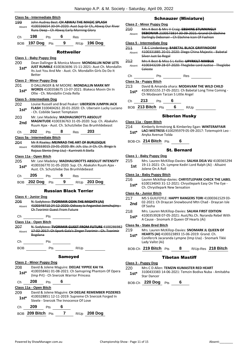#### **Class 5a - Intermediate Bitch**

|                | <u> Class 3a - Intermediate Bitch</u>                                                                 |                                      |       |                                              |                                                                                                       |  |
|----------------|-------------------------------------------------------------------------------------------------------|--------------------------------------|-------|----------------------------------------------|-------------------------------------------------------------------------------------------------------|--|
| 199            | John Audrey Best: CH ABWAJ THE MAGIC SPLASH<br>4100336654 30-04-2020: Aust Sup Gr Ch, Abwaj Our River |                                      |       |                                              |                                                                                                       |  |
| Absent         |                                                                                                       |                                      |       | Runs Deep - Ch Abwaj Early Morning Glory     |                                                                                                       |  |
|                |                                                                                                       |                                      |       |                                              |                                                                                                       |  |
| Ch             | 198                                                                                                   | <b>Pts</b>                           | 6     | Res                                          |                                                                                                       |  |
| BOB            | 197 Dog Pts                                                                                           |                                      | 9     |                                              | R/Up 196 Dog                                                                                          |  |
|                |                                                                                                       |                                      |       |                                              |                                                                                                       |  |
|                |                                                                                                       |                                      |       | <b>Rottweiler</b>                            |                                                                                                       |  |
|                | <u> Class 1 - Baby Puppy Dog</u>                                                                      |                                      |       |                                              |                                                                                                       |  |
| 200            |                                                                                                       |                                      |       |                                              | Dean Dallinger & Monica Moore: MONDALLIN NOW LETS                                                     |  |
| $1st*$         |                                                                                                       |                                      |       |                                              | <b>JUST RUMBLE 4100363696 15-11-2021: Aust Ch. Mondallin</b>                                          |  |
|                | Better                                                                                                |                                      |       |                                              | Its Just You And Me - Aust, Ch. Mondallin Girls Do Do It                                              |  |
|                |                                                                                                       |                                      |       |                                              |                                                                                                       |  |
|                | <b>Class 2 - Minor Puppy Dog</b>                                                                      |                                      |       |                                              |                                                                                                       |  |
| 201            |                                                                                                       |                                      |       |                                              | D DALLINGER & M MOORE: MONDALLIN MARK MY<br><b>WORDS</b> 4100358675 13-07-2021: Blakeco Movin On In   |  |
| 1st*           |                                                                                                       | Ollie - Ch. Mondallin Cinda Rella    |       |                                              |                                                                                                       |  |
|                | Class 5 - Intermediate Dog                                                                            |                                      |       |                                              |                                                                                                       |  |
| 202            |                                                                                                       |                                      |       |                                              | Louise Russell and Brad Peaker: UBERSEIN JUMPIN JACK                                                  |  |
| $1st^*$        |                                                                                                       |                                      |       |                                              | FLASH 3100404261 20-01-2020: Ch. Ubersein Lucky Luciano                                               |  |
|                |                                                                                                       | - Ch. Cobilde Sweet Temptaion        |       |                                              |                                                                                                       |  |
| 203            |                                                                                                       |                                      |       |                                              | Mr. Levi Madeley: MADHAUSROTTS ABSOLUT                                                                |  |
| 2nd            |                                                                                                       |                                      |       |                                              | MAGNITUDE 4100336763 31-05-2020: Sup. Ch. Abakahn                                                     |  |
|                |                                                                                                       |                                      |       |                                              | Ruum Ajax - Aust. Ch. Schutzliebe Das Brunhildebeast                                                  |  |
| Ch             | 202                                                                                                   | Pts                                  |       | 8 Res 203                                    |                                                                                                       |  |
|                | Class 5a - Intermediate Bitch                                                                         |                                      |       |                                              |                                                                                                       |  |
| 204            |                                                                                                       |                                      |       |                                              | Mr R Riseley: MEINRAD THE ART OF BURLESQUE                                                            |  |
| Absent         |                                                                                                       |                                      |       |                                              | 4100333015 23 01 2020: Blr. Jch. Ltu. Jr Ch. Ch. Bingo Is                                             |  |
|                |                                                                                                       |                                      |       | Rojaus Slenio (Imp Ltu) - Kurrirott A Stella |                                                                                                       |  |
|                | <b>Class 11a - Open Bitch</b>                                                                         |                                      |       |                                              |                                                                                                       |  |
| 205            |                                                                                                       |                                      |       |                                              | Mr. Levi Madeley: MADHAUSROTTS ABSOLUT INTENSITY                                                      |  |
| $1$ st $*$     |                                                                                                       |                                      |       | Aust. Ch. Schutzliebe Das Brunhildebeast     | 4100336770 31-05-2020: Sup. Ch. Abakahn Ruum Ajax -                                                   |  |
|                |                                                                                                       |                                      |       |                                              |                                                                                                       |  |
| Ch             | $205$ Pts                                                                                             |                                      | 6 Res |                                              |                                                                                                       |  |
| BOB.           | <b>202 Dog</b> Pts 9                                                                                  |                                      |       |                                              | R/Up 203 Dog                                                                                          |  |
|                |                                                                                                       |                                      |       |                                              |                                                                                                       |  |
|                |                                                                                                       |                                      |       | <b>Russian Black Terrier</b>                 |                                                                                                       |  |
|                | Class 4 - Junior Dog                                                                                  |                                      |       |                                              |                                                                                                       |  |
| 206            |                                                                                                       |                                      |       |                                              | N. Sadykova: TVORIMIR ODIN THE MIGHTY (AI)<br>4100349710 24-12-2020: Odissey Iz Angarskoi Jemchujiny- |  |
| Absent         |                                                                                                       | <b>Ch Tyorimir Guest From Future</b> |       |                                              |                                                                                                       |  |
|                |                                                                                                       |                                      |       |                                              |                                                                                                       |  |
| Ch             |                                                                                                       | Pts                                  |       |                                              |                                                                                                       |  |
|                | Class 11a - Open Bitch                                                                                |                                      |       |                                              |                                                                                                       |  |
| 207            |                                                                                                       |                                      |       |                                              | N. Sadykova: TVORIMIR GUEST FROM FUTURE 4100286982                                                    |  |
| Absent         | Bogdana                                                                                               |                                      |       |                                              | 17-02-2017: Ch Spark Gala's Zinger Tvorimir - Ch. Tvorimir                                            |  |
|                |                                                                                                       |                                      |       |                                              |                                                                                                       |  |
| Ch             | $\rightharpoonup$ Pts                                                                                 |                                      |       |                                              |                                                                                                       |  |
| BOB            |                                                                                                       |                                      |       | Pts R/Up                                     |                                                                                                       |  |
|                |                                                                                                       |                                      |       |                                              |                                                                                                       |  |
| <b>Samoyed</b> |                                                                                                       |                                      |       |                                              |                                                                                                       |  |
|                | <b>Class 2 - Minor Puppy Dog</b>                                                                      |                                      |       |                                              |                                                                                                       |  |
| 208            |                                                                                                       |                                      |       |                                              | David & Jolene Maguire: DEEJAE YIPPEE KAI YA                                                          |  |
| $1st*$         |                                                                                                       |                                      |       | (Imp Prt) - Ch Snerzok Warrior Princess      | 4100358461 01-08-2021: Ch Samspring Phantom Of Opera                                                  |  |
|                |                                                                                                       |                                      |       |                                              |                                                                                                       |  |
| Ch             |                                                                                                       |                                      |       |                                              |                                                                                                       |  |
|                | 208                                                                                                   | <b>Pts</b>                           | 6     |                                              |                                                                                                       |  |
|                | Class 11a - Open Bitch                                                                                |                                      |       |                                              |                                                                                                       |  |
| 209            |                                                                                                       |                                      |       |                                              | David & Jolene Maguire: CH DEEJAE REMEMBER POZIERES                                                   |  |
| $1st*$         |                                                                                                       |                                      |       |                                              | 4100328851 12-11-2019: Supreme Ch Snerzok Forged In                                                   |  |
|                |                                                                                                       |                                      |       | Steele - Snerzok The Innocence Of Love       |                                                                                                       |  |
| Ch             | 209<br>BOB 209 Bitch Pts 7                                                                            | <b>Pts</b>                           | 6     |                                              | R/Up 208 Dog                                                                                          |  |

#### Schnauzer (Miniature)

#### **Class 2 - Minor Puppy Dog**

| 210<br>Absent                     |                                                                                                                                          |     |   |     | Mrs K Best & Mrs V Craig: EBSHINE STUNNINGLY<br><b>EBONAIR</b> 2100573814 30-09-2021: Grand Ch Ebshine<br><u> Darlingly Debonair - Ch Ebshine Icon Of Fashion</u> |  |  |  |
|-----------------------------------|------------------------------------------------------------------------------------------------------------------------------------------|-----|---|-----|-------------------------------------------------------------------------------------------------------------------------------------------------------------------|--|--|--|
| <b>Class 5 - Intermediate Dog</b> |                                                                                                                                          |     |   |     |                                                                                                                                                                   |  |  |  |
| 211<br>Absent                     | <b>T &amp; C Lindenberg: BABETAL BLACK GRIFFINDORF</b><br>4100331885 20-01-2020: Diego China Majestic<br>Silver Just So Regal            |     |   |     |                                                                                                                                                                   |  |  |  |
| 212<br>Absent                     | Mrs K Best & Miss S L Kellie: UPYRKILT NIMBUS<br>4100343239 28 07 2020: Theglebe Lord Justise<br>حصامته                                  |     |   |     |                                                                                                                                                                   |  |  |  |
| Сh                                |                                                                                                                                          | Pts |   | Res |                                                                                                                                                                   |  |  |  |
|                                   | Class 3a - Puppy Bitch                                                                                                                   |     |   |     |                                                                                                                                                                   |  |  |  |
| 213<br>$1st*$                     | David & Amanda ohara: MODAVAM THE WILD CHILD<br>4100355155 27-05-2021: Ch Babetal Long Time Coming -<br>Ch Modavam Tarzan S Little Angel |     |   |     |                                                                                                                                                                   |  |  |  |
| Сh                                | 213                                                                                                                                      | Pts | h |     |                                                                                                                                                                   |  |  |  |

BOB **213 Bitch** Pts **6** R/Up

#### Siberian Husky

#### **Class 11a - Open Bitch**

- 214 Kimberly Armstrong & Kimberley Egan: **WINTERAFFAIR LACI MISTRESS** 4100295979 05-09-2017: Totemspirit Leo -
	- Anyka Avenue Tolda **1st\***

### BOB-Ch **214 Bitch** Pts **6**

#### St. Bernard

#### **Class 1 - Baby Puppy Dog**

215 Mrs. Lauren McKillop-Davies: **SALHIA DEJA VU** 4100365294 19-11-2021: Ch. Lympne Kediri Lord Ralph (Ai) - Allsaint **1st 19-11-2021**: Cn.<br>**Jolene On A Roll** 

#### **Class 1a - Baby Puppy Bitch**

- 216 Lauren Mckillop-davies: **CHRYSTLEPARK CHECK THE LABEL**
	- 6100134043 31-12-2021: Chrystlepark Easy On The Eye 1st\* b100134043 31-12-2021: Chrystlepark New Sensation

#### **Class 4a - Junior Bitch**

- 217 MS S GUILFOYLE: **HAPPY RANGERS TORI** 41000361529 03- 02-2021: Ch Draycan Snowbound Mtn Chad - Draycan Isle **2nd** Of Sasha
- 218 Mrs. Lauren McKillop-Davies: **SALHIA FIRST EDITION** 4100353928 07-05-2021: Aust/Nz.Ch. Nyranda Rebel With A Cause - Snomark Jl Queen Of Hearts (Ai) **1st\***

#### **Class 9a - State Bred Bitch**

- 219 Mrs. Lauren McKillop-Davies: **SNOMARK JL QUEEN OF** 
	- **HEARTS (AI)** 4100323893 15-06-2019: Grand. Ch. Conifercrk Jacaranda Lympne (Imp Usa) - Snomark Tikki Lady Vallst (Ai) **1st\***
- BOB-Ch **219 Bitch** Pts **8** R/Up-Res **218 Bitch**

#### Tibetan Mastiff

#### **Class 3 - Puppy Dog**

- 220 Mrs C D Allen: **TEMZIN KUMASTER RED HEART**
- 3100433383 14-06-2021: Temzin Bodiva Nuba Amitabha **1st**\* **5100433383**<br>Star Dancer

BOB-Ch **220 Dog** Pts **6**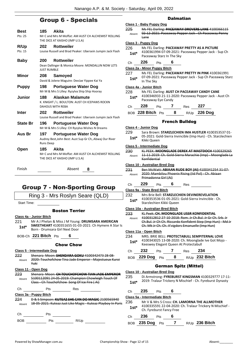## Group 6 - Specials

| Best<br>Pts: 25        | 185                       | Akita<br>Mr C and Mrs M Moffat: AM AUST CH ALCHEMIST ROLLING<br>THE DICE AT KAISHO (IMP U.S.A) |
|------------------------|---------------------------|------------------------------------------------------------------------------------------------|
| <b>R/Up</b><br>Pts: 15 | 202                       | <b>Rottweiler</b><br>Louise Russell and Brad Peaker: Ubersein Jumpin Jack Flash                |
| <b>Baby</b>            | 200<br><b>JUST RUMBLE</b> | <b>Rottweiler</b><br>Dean Dallinger & Monica Moore: MONDALLIN NOW LETS                         |
| <b>Minor</b>           | 208                       | Samoyed<br>David & Jolene Maguire: DeeJae Yippee Kai Ya                                        |
| Puppy                  | 198                       | Portuguese Water Dog<br>Mr M & Mrs S Lilley: Ryzylva Ship Ship Hooray                          |
| <b>Junior</b>          | 188                       | Alaskan Malamute<br>K. KNIGHT / L. BOULTON: AUST CH ICEPAWS ROCKN<br><b>DAHOUS WITH REBA</b>   |
| <b>Inter</b>           | 202                       | <b>Rottweiler</b><br>Louise Russell and Brad Peaker: Ubersein Jumpin Jack Flash                |
| <b>State Br</b>        | 196                       | Portuguese Water Dog<br>Mr M & Mrs S Lilley: CH Ryzylva Wishes N Dreams                        |
| Aus Br                 | 197<br><b>Runs Deep</b>   | <b>Portuguese Water Dog</b><br>Audrey Best, John Best: Aust Sup Gr Ch, Abwaj Our River         |
| Open                   | 185                       | Akita<br>Mr C and Mrs M Moffat: AM AUST CH ALCHEMIST ROLLING<br>THE DICE AT KAISHO (IMP U.S.A) |
| Finish                 |                           | Absent<br>8                                                                                    |
|                        |                           | e.<br>ن من 1 من 1<br>œ<br>ND.<br>r ma                                                          |

## Group 7 - Non-Sporting Group

Ring 3 - Mrs Roslyn Seare (QLD)

Start Time:

#### Boston Terrier

|        | Class 4a - Junior Bitch        |   |                                                       |
|--------|--------------------------------|---|-------------------------------------------------------|
| 221    |                                |   | Mr A J Phelan & Miss J M Young: DRUMSARA AMERICAN     |
| $1st*$ | Born - Drumsara Girl Next Door |   | SWEETHEART 4100351655 01-03-2021: Ch Hymere A Star Is |
|        | BOB-Ch 221 Bitch Pts           | 6 |                                                       |

#### Chow Chow

#### **Class 5 - Intermediate Dog**

| Absent        | Yuki                               | Shanara Maon: SHENDARA GOKII 4100347472 20 00<br>2020: Touchofchow Tina Jade Emperor - Maiestueux Kuroi                                               |                      |
|---------------|------------------------------------|-------------------------------------------------------------------------------------------------------------------------------------------------------|----------------------|
|               | Class 11 - Open Dog                |                                                                                                                                                       |                      |
| 223<br>Absent |                                    | Shenara, Moon: CH TOUCHOFCHOW TIAN IADE FMDEDOD<br>5100112091 24-05-2019: Champion Chowleigh Touch Of<br>Class - Ch Touchofchow Song Of Ice Fire (Ai) |                      |
| Сh            | Pts                                | Res                                                                                                                                                   |                      |
|               | Class 3a - Puppy Bitch             |                                                                                                                                                       |                      |
| 224<br>Absent | <del>18 U3 ZUZI. KULCUZ JUJI</del> | D & S Simpson: KUTEAZ SHE CAN DO MAGIC 2100565940<br>18 AE 2021: Kutoaz Just Liko Magis - Kutoaz Playboy In Paris<br>magic                            | <del>uz Tiuvov</del> |

Ch Pts BOB Pts R/Up

## Dalmatian

#### **Class 1 - Baby Puppy Dog** 225 Ms FEL Darling: **PACEAWAY DROVERS LANE** 4100366115 02-12-2021: Paceaway Pepper Jack - Ch Paceaway Penny Lane Absent

#### **Class 3 - Puppy Dog**

| $1st*$ | 4100361994 07-09-2021: Paceaway Pepper Jack - Sup Ch |
|--------|------------------------------------------------------|
|        | Paceaway Starz In The Sky                            |

#### Ch **226** Pts **6**

**Class 2a - Minor Puppy Bitch**

227 Ms FEL Darling: **PACEAWAY PRETTY IN PINK** 4100361991 07-09-2021: Paceaway Pepper Jack - Sup Ch Paceaway Starz In The Sky **1st\***

#### **Class 4a - Junior Bitch**

| 228    | Ms FEL Darling: AUST CH PACEAWAY CANDY CANE           |
|--------|-------------------------------------------------------|
| $1st*$ | 4100346933 21-11-2020: Paceaway Pepper Jack - Aust Ch |
|        | Paceaway Eye Candy                                    |

BOB **228 Bitch** Pts **8** R/Up **226 Dog**

#### French Bulldog

#### **Class 4 - Junior Dog**

| 229    | Sara Brown: STARZLECHIEN IMA HUSTLER 4100353537 01-          |
|--------|--------------------------------------------------------------|
| $1st*$ | 05-2021: Gold-Sierra Invincible (Imp Hun) - Ch. Starzlechien |
|        | Kikki Queen                                                  |

#### **Class 5 - Intermediate Dog**

| 230    | KL PEEK: MOONGLADE DEREK AT MASTDOCH 4100329265                         |  |
|--------|-------------------------------------------------------------------------|--|
| Ahsent | 11 11 2019: Ch. Gold Sierra Marachie (Imp) Moonglade La<br>Konfidential |  |

#### **Class 10 - Australian Bred Dog**

| 231    | Ben McWatt: ABIAAN RUDE BOY (AI) 4100341254 31-07-                           |
|--------|------------------------------------------------------------------------------|
| Ahsent | 2020: Mambilou Phoenix Rising (Iid Pol) - Ch. Abiaan<br>Primadonna Girl (Ai) |
|        |                                                                              |

| Сh | חרכ<br>э | ้เร | Res: |  |
|----|----------|-----|------|--|
|    |          |     |      |  |

#### **Class 9a - State Bred Bitch**

| 232    | Mrs Brie Bell: STARZLECHIEN DEVINEREVELATION        |
|--------|-----------------------------------------------------|
| $1st*$ | 4100353536 01-05-2021: Gold-Sierra Invincible - Ch. |
|        | Starzlechien Kikki Queen                            |

#### **Class 10a - Australian Bred Bitch**

| Absent |                        | <b>Deeb: CH, MOONGLADE LISSR KONEIDENT</b><br>4100312812.27.10.2018: Rom. Jr Ch. Bul. Jr Gr Ch<br>ł۴<br>Ch. Bul. Jr Ch Ch. Riccardo Konfident Step (Imp Hun)<br>Ch. Mk Jr Ch. Ch. A'vigdors Emanuelle (Imp Hun) |   |                                       |                                                     |
|--------|------------------------|-----------------------------------------------------------------------------------------------------------------------------------------------------------------------------------------------------------------|---|---------------------------------------|-----------------------------------------------------|
|        | Class 11a - Open Bitch |                                                                                                                                                                                                                 |   |                                       |                                                     |
| 234    |                        |                                                                                                                                                                                                                 |   |                                       | MRS. BRIE BELL: PROTECTABULL SEMPITERNAL LOVE       |
| $1st*$ |                        |                                                                                                                                                                                                                 |   | Keeswey Elegant Queen At Protectabull | 4100343025 13-08-2020: Ch. Moonglade Ive Got Mojo - |
| Сh     | 232                    | Pts                                                                                                                                                                                                             |   | Res                                   | 234                                                 |
| ROB    | <b>229 Dog</b>         | Pts                                                                                                                                                                                                             | 8 |                                       | R/Up 232 Bitch                                      |
|        |                        |                                                                                                                                                                                                                 |   | <b>German Spitz (Mittel)</b>          |                                                     |

### **Class 10 - Australian Bred Dog**

235 Di Armstrong: **FYREBURST KINGSMAN** 4100329777 17-11- 2019: Tralaur Trickery N Mischief - Ch. Fyreburst Dynasty **1st\***

Ch **235** Pts **6**

**Class 5a - Intermediate Bitch**

236 Mr V & Mrs S Cross: **CH. LAMORNA THE ALLMOTHER** 4100335591 22-04-2020: Ch. Tralaur Trickery N Mischief - Ch. Fyreburst Fancy Free **1st\***

#### Ch **236** Pts **6**

BOB **235 Dog** Pts **7** R/Up **236 Bitch**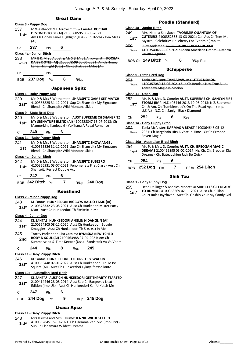#### Great Dane

|            | <u> Class 3 - Puppy Dog</u>                                                                                 |
|------------|-------------------------------------------------------------------------------------------------------------|
| 237        | M Westbrook & L Arrowsmith & J Audet: KOCHAK                                                                |
| 1st*       | DESTINED TO BE (AI) 2100568595 05-06-2021:<br>Am.Ch.Honey Lanes Highlight (Usa) - Ch. Kochak Bea Miles      |
|            | (Ai)                                                                                                        |
| Ch         | $237$ Pts 6                                                                                                 |
|            | Class 4a - Junior Bitch                                                                                     |
| 238        | MR B & Mrs J Audet & Mr S & Mrs L Arrowsmith: KOCHAK<br>DAISY DOTES (AI) 2100568599 05-06-2021: Amch Honey  |
| Absent     | Lanes Highlight (Usa) Ch Kochak Bea Miles (Ai)                                                              |
| Ch         | $P$ ts                                                                                                      |
|            | BOB 237 Dog Pts 6 R/Up                                                                                      |
|            | <b>Japanese Spitz</b>                                                                                       |
|            | Class 1 - Baby Puppy Dog                                                                                    |
| 239        | Mr D & Mrs S Watherston: SHANSPITZ GAME SET MATCH                                                           |
| 1st*       | 4100365825 31-12-2021: Sup Ch Shanspitz My Signature<br>Blend - Ch Shanspitz Wild Montana Skies             |
|            | Class 9 - State Bred Dog                                                                                    |
| 240        | Mr D & Mrs S Watherston: AUST SUPREME CH SHANSPITZ                                                          |
| $1st^*$    | MY SIGNATURE BLEND (AI) 4100228847 16-07-2013: Ch<br>Mannerking Kanjogaki - Yukihana A Regal Romance        |
| Ch         | 240<br>$\overline{\phantom{0}}$ 6<br><b>Pts</b>                                                             |
|            | Class 1a - Baby Puppy Bitch                                                                                 |
| 241        | Mr D & Mrs S Watherston: SHANSPITZ SNOW ANGEL                                                               |
| 1st        | 4100365826 31-12-2021: Sup Ch Shanspitz My Signature<br>Blend - Ch Shanspitz Wild Montana Skies             |
|            | Class 4a - Junior Bitch                                                                                     |
| 242        | Mr D & Mrs S Watherston: SHANSPITZ SUBZERO                                                                  |
| $1st^*$    | 4100356931 03-07-2021: Fenomenets First Class - Aust Ch<br>Shanspitz Perfect Double Act                     |
|            | Ch <b>242</b> Pts<br>6                                                                                      |
|            | BOB 242 Bitch Pts 7 R/Up 240 Dog                                                                            |
|            | <b>Keeshond</b>                                                                                             |
|            | <b>Class 2 - Minor Puppy Dog</b>                                                                            |
| 243        | KL Santas: HUNKEEDORI BIGBOYS HALL O FAME (AI)                                                              |
| 1st*       | 2100573332 23-08-2021: Aust Ch Hunkeeori Mister Party<br>Man - Aust Ch Hunkeedori Th Sixsixsix In Me        |
|            | Class 4 - Junior Dog                                                                                        |
| 244        | KL SANTAS: HUNKEEDORI ANGLIN N DANGLIN (AI)                                                                 |
| 1st*       | 2100554305 08-12-2020: Aust Ch Hunkeedori Budgie<br>Smuggler - Aust Ch Hunkeedori Th Sixsixsix In Me        |
| 245        | Tracey Parker and Liza Cassidy: RYMISKA BEWITCHED                                                           |
| 2nd        | BODY N SOUL (AI) 2100563988 07-04-2021: Am Ch<br>Summerwind'S Time Keeper (Usa) - Sandstock Va Va Voom      |
| Ch         | 244<br>8<br>245<br>Pts<br>Res                                                                               |
|            | Class 1a - Baby Puppy Bitch                                                                                 |
| 246        | KL Santas: HUNKEEDORI TELL URSTORY WALKIN                                                                   |
| $1st*$     | 4100366448 07-01-2022: Aust Ch Hunkeedori Hip To Be<br>Square (Ai) - Aust Ch Hunkeedori Fylmylifeaxsollonte |
|            | Class 10a - Australian Bred Bitch                                                                           |
| 247        | KL SANTAS: AUST CH HUNKEEDORI GET THPARTY STARTED                                                           |
| $1st^*$    | 2100414446 28-08-2014: Aust Sup Ch Bargeway Next<br>Edition (Imp Uk) - Aust Ch Hunkeedori Kan U Katch Me    |
| Ch         | 247<br>6<br>Pts                                                                                             |
| <b>BOB</b> | 9<br>R/Up 245 Dog<br>$244$ Dog Pts                                                                          |
|            | <b>Lhasa Apso</b>                                                                                           |

#### Poodle (Standard)

- **Class 4a - Junior Bitch**
- 249 Mrs. Natalia Sadykova: **TVORIMIR QUANTUM OF CUTENESS** 4100352355 13-03-2021: Can Aus Ch Tees Me Mystro - Celebrities Halleberry For Tvorimir (Imp Ita) **1st\***
- 250 Riley Anderson: **RIVIERRA RISE FROM THE ASH**
- 4100354048 25-02-2021: Loana American Dream Rivierra Raven Elegance Absent
- BOB-Ch **249 Bitch** Pts **6** R/Up-Res

#### Schipperke

**Class 9 - State Bred Dog**

251 Tania McAlister: **TANZAPAW MY LITTLE DEMON** 4100357089 13-06-2021: Sup Ch Beadale Hey True Blue-Tanzapaw Magic In Motion Absent

- **Class 11 - Open Dog** 252 Mr. P. & Mrs. D. Comrie: **AUST. SUPREME CH. SANLYN FIRE STORM (IMP. N.Z.)** 03446-2013 19-05-2013: N.Z. Supreme
	- Ch. & Am. Ch. Tumbleweed's On The Road Again (Imp. U.S.A.) - N.Z. Ch. Sanlyn Black Diamond **1st\***

| $- \cdot \cdot$ | --- | ت<br>$ -$ | __ |  |
|-----------------|-----|-----------|----|--|
|                 |     |           |    |  |

**Class 1a - Baby Puppy Bitch**

253 Tania McAlister: **KARMAS A BEAST** 4100364648 05-12- 2021: Ch Bargchain Hits A Vote In Time - Gr Ch Exmoor Raven Magic Absent

#### **Class 10a - Australian Bred Bitch**

254 Mr. P. & Mrs. D. Comrie: **AUST. CH. BREOGAN MAGIC DREAMS** 2100469895 03-02-2017: Nz. Ch. Ch. Breogan Kiwi 1st\* **DREAMS** 2100469895 03-02-2017: NZ. C<br>Dreams - Ch. Bateauchien Jack Be Quick

#### Ch **254** Pts **6**

BOB **252 Dog** Pts **7** R/Up **254 Bitch**

## Shih Tzu

#### **Class 1 - Baby Puppy Dog**

- 255 Dean Dallinger & Monica Moore: **OESHIH LETS GET READY TO RUMBLE** 4100363269 02-11-2021: Aust Ch. Killilan
	- Court Rules Inyrfavor Aust Ch. Oeshih Your My Candy Girl **1st\***

**Class 1a - Baby Puppy Bitch**

248 Mrs D elms and Mrs L Hume: **JENNIE WILDEST FLIRT**

**1st** 4100362845 15-10-2021: Ch Dilem<br>Sup Ch Elshamara Wildest Dreams

4100362845 15-10-2021: Ch Dilemma Veni Vici (Imp Hrv) -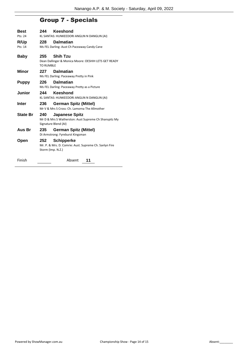## Group 7 - Specials

| <b>Best</b>     | 244                                         | Keeshond                                                                                               |  |  |
|-----------------|---------------------------------------------|--------------------------------------------------------------------------------------------------------|--|--|
| Pts: 24         | KL SANTAS: HUNKEEDORI ANGLIN N DANGLIN (AI) |                                                                                                        |  |  |
| R/Up            | 228                                         | <b>Dalmatian</b>                                                                                       |  |  |
| Pts: 14         |                                             | Ms FEL Darling: Aust Ch Paceaway Candy Cane                                                            |  |  |
| <b>Baby</b>     | 255                                         | <b>Shih Tzu</b><br>Dean Dallinger & Monica Moore: OESHIH LETS GET READY<br><b>TO RUMBLE</b>            |  |  |
| Minor           | 227                                         | <b>Dalmatian</b>                                                                                       |  |  |
|                 |                                             | Ms FEL Darling: Paceaway Pretty in Pink                                                                |  |  |
| <b>Puppy</b>    | 226                                         | <b>Dalmatian</b>                                                                                       |  |  |
|                 |                                             | Ms FEL Darling: Paceaway Pretty as a Picture                                                           |  |  |
| Junior          | 244                                         | Keeshond<br>KL SANTAS: HUNKEEDORI ANGLIN N DANGLIN (AI)                                                |  |  |
| Inter           | 236                                         | <b>German Spitz (Mittel)</b><br>Mr V & Mrs S Cross: Ch. Lamorna The Allmother                          |  |  |
| <b>State Br</b> | 240                                         | <b>Japanese Spitz</b><br>Mr D & Mrs S Watherston: Aust Supreme Ch Shanspitz My<br>Signature Blend (AI) |  |  |
| Aus Br          | 235                                         | <b>German Spitz (Mittel)</b><br>Di Armstrong: Fyreburst Kingsman                                       |  |  |
| Open            | 252.<br>Storm (Imp. N.Z.)                   | <b>Schipperke</b><br>Mr. P. & Mrs. D. Comrie: Aust. Supreme Ch. Sanlyn Fire                            |  |  |
| Finish          |                                             | Absent<br>11                                                                                           |  |  |